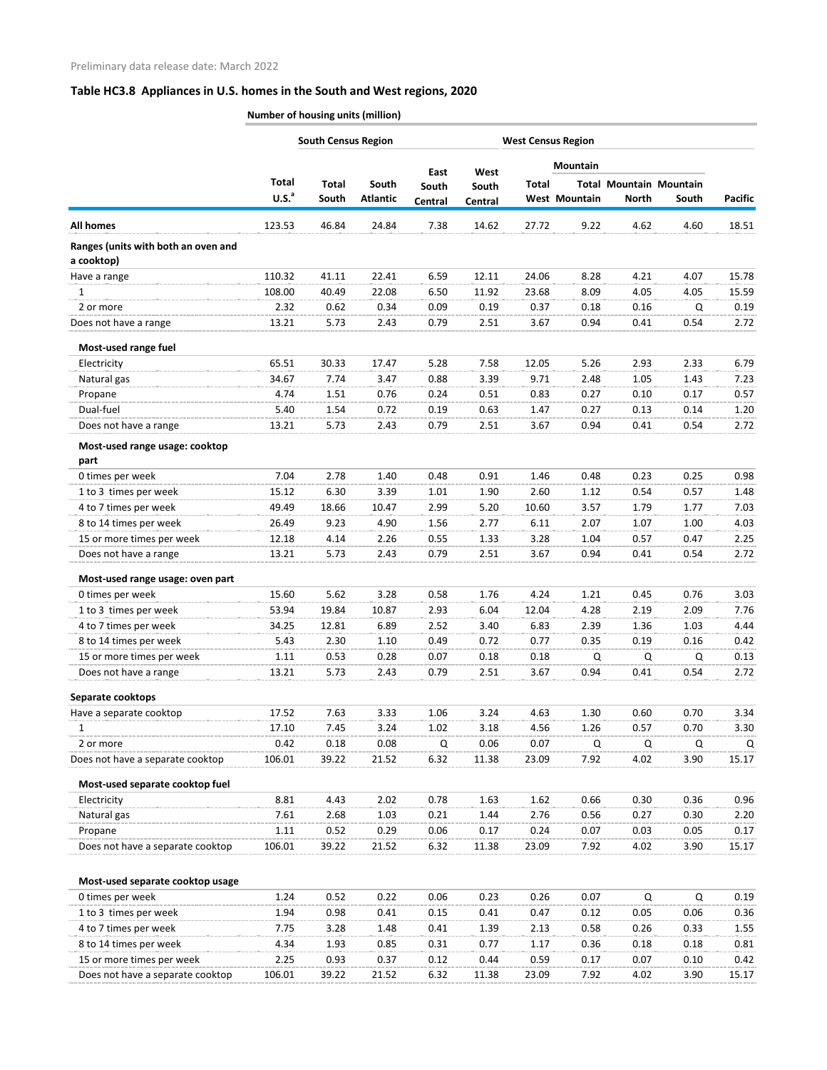|                                                   | <b>South Census Region</b> |              |                 | <b>West Census Region</b> |         |              |                      |              |                                |                |
|---------------------------------------------------|----------------------------|--------------|-----------------|---------------------------|---------|--------------|----------------------|--------------|--------------------------------|----------------|
|                                                   |                            |              |                 | East                      | West    |              | Mountain             |              |                                |                |
|                                                   | Total                      | <b>Total</b> | South           | South                     | South   | <b>Total</b> |                      |              | <b>Total Mountain Mountain</b> |                |
|                                                   | U.S. <sup>a</sup>          | South        | <b>Atlantic</b> | Central                   | Central |              | <b>West Mountain</b> | <b>North</b> | South                          | <b>Pacific</b> |
| <b>All homes</b>                                  | 123.53                     | 46.84        | 24.84           | 7.38                      | 14.62   | 27.72        | 9.22                 | 4.62         | 4.60                           | 18.51          |
| Ranges (units with both an oven and<br>a cooktop) |                            |              |                 |                           |         |              |                      |              |                                |                |
| Have a range                                      | 110.32                     | 41.11        | 22.41           | 6.59                      | 12.11   | 24.06        | 8.28                 | 4.21         | 4.07                           | 15.78          |
| $\mathbf{1}$                                      | 108.00                     | 40.49        | 22.08           | 6.50                      | 11.92   | 23.68        | 8.09                 | 4.05         | 4.05                           | 15.59          |
| 2 or more                                         | 2.32                       | 0.62         | 0.34            | 0.09                      | 0.19    | 0.37         | 0.18                 | 0.16         | Q                              | 0.19           |
| Does not have a range                             | 13.21                      | 5.73         | 2.43            | 0.79                      | 2.51    | 3.67         | 0.94                 | 0.41         | 0.54                           | 2.72           |
| Most-used range fuel                              |                            |              |                 |                           |         |              |                      |              |                                |                |
| Electricity                                       | 65.51                      | 30.33        | 17.47           | 5.28                      | 7.58    | 12.05        | 5.26                 | 2.93         | 2.33                           | 6.79           |
| Natural gas                                       | 34.67                      | 7.74         | 3.47            | 0.88                      | 3.39    | 9.71         | 2.48                 | 1.05         | 1.43                           | 7.23           |
| Propane                                           | 4.74                       | 1.51         | 0.76            | 0.24                      | 0.51    | 0.83         | 0.27                 | 0.10         | 0.17                           | 0.57           |
| Dual-fuel                                         | 5.40                       | 1.54         | 0.72            | 0.19                      | 0.63    | 1.47         | 0.27                 | 0.13         | 0.14                           | 1.20           |
| Does not have a range                             | 13.21                      | 5.73         | 2.43            | 0.79                      | 2.51    | 3.67         | 0.94                 | 0.41         | 0.54                           | 2.72           |
| Most-used range usage: cooktop<br>part            |                            |              |                 |                           |         |              |                      |              |                                |                |
| 0 times per week                                  | 7.04                       | 2.78         | 1.40            | 0.48                      | 0.91    | 1.46         | 0.48                 | 0.23         | 0.25                           | 0.98           |
| 1 to 3 times per week                             | 15.12                      | 6.30         | 3.39            | 1.01                      | 1.90    | 2.60         | 1.12                 | 0.54         | 0.57                           | 1.48           |
| 4 to 7 times per week                             | 49.49                      | 18.66        | 10.47           | 2.99                      | 5.20    | 10.60        | 3.57                 | 1.79         | 1.77                           | 7.03           |
| 8 to 14 times per week                            | 26.49                      | 9.23         | 4.90            | 1.56                      | 2.77    | 6.11         | 2.07                 | 1.07         | 1.00                           | 4.03           |
| 15 or more times per week                         | 12.18                      | 4.14         | 2.26            | 0.55                      | 1.33    | 3.28         | 1.04                 | 0.57         | 0.47                           | 2.25           |
| Does not have a range                             | 13.21                      | 5.73         | 2.43            | 0.79                      | 2.51    | 3.67         | 0.94                 | 0.41         | 0.54                           | 2.72           |
| Most-used range usage: oven part                  |                            |              |                 |                           |         |              |                      |              |                                |                |
| 0 times per week                                  | 15.60                      | 5.62         | 3.28            | 0.58                      | 1.76    | 4.24         | 1.21                 | 0.45         | 0.76                           | 3.03           |
| 1 to 3 times per week                             | 53.94                      | 19.84        | 10.87           | 2.93                      | 6.04    | 12.04        | 4.28                 | 2.19         | 2.09                           | 7.76           |
| 4 to 7 times per week                             | 34.25                      | 12.81        | 6.89            | 2.52                      | 3.40    | 6.83         | 2.39                 | 1.36         | 1.03                           | 4.44           |
| 8 to 14 times per week                            | 5.43                       | 2.30         | 1.10            | 0.49                      | 0.72    | 0.77         | 0.35                 | 0.19         | 0.16                           | 0.42           |
| 15 or more times per week                         | 1.11                       | 0.53         | 0.28            | 0.07                      | 0.18    | 0.18         | Q                    | Q            | Q                              | 0.13           |
| Does not have a range                             | 13.21                      | 5.73         | 2.43            | 0.79                      | 2.51    | 3.67         | 0.94                 | 0.41         | 0.54                           | 2.72           |
| Separate cooktops                                 |                            |              |                 |                           |         |              |                      |              |                                |                |
| Have a separate cooktop                           | 17.52                      | 7.63         | 3.33            | 1.06                      | 3.24    | 4.63         | 1.30                 | 0.60         | 0.70                           | 3.34           |
| 1                                                 | 17.10                      | 7.45         | 3.24            | 1.02                      | 3.18    | 4.56         | 1.26                 | 0.57         | 0.70                           | 3.30           |
| 2 or more                                         | 0.42                       | 0.18         | 0.08            | Q                         | 0.06    | 0.07         | Q                    | Q            | Q                              | Q              |
| Does not have a separate cooktop                  | 106.01                     | 39.22        | 21.52           | 6.32                      | 11.38   | 23.09        | 7.92                 | 4.02         | 3.90                           | 15.17          |
| Most-used separate cooktop fuel                   |                            |              |                 |                           |         |              |                      |              |                                |                |
| Electricity                                       | 8.81                       | 4.43         | 2.02            | 0.78                      | 1.63    | 1.62         | 0.66                 | 0.30         | 0.36                           | 0.96           |
| Natural gas                                       | 7.61                       | 2.68         | 1.03            | 0.21                      | 1.44    | 2.76         | 0.56                 | 0.27         | 0.30                           | 2.20           |
| Propane                                           | 1.11                       | 0.52         | 0.29            | 0.06                      | 0.17    | 0.24         | 0.07                 | 0.03         | 0.05                           | 0.17           |
| Does not have a separate cooktop                  | 106.01                     | 39.22        | 21.52           | 6.32                      | 11.38   | 23.09        | 7.92                 | 4.02         | 3.90                           | 15.17          |
| Most-used separate cooktop usage                  |                            |              |                 |                           |         |              |                      |              |                                |                |
| 0 times per week                                  | 1.24                       | 0.52         | 0.22            | 0.06                      | 0.23    | 0.26         | 0.07                 | Q            | $\mathsf Q$                    | 0.19           |
| 1 to 3 times per week                             | 1.94                       | 0.98         | 0.41            | 0.15                      | 0.41    | 0.47         | 0.12                 | 0.05         | 0.06                           | 0.36           |
| 4 to 7 times per week                             | 7.75                       | 3.28         | 1.48            | 0.41                      | 1.39    | 2.13         | 0.58                 | 0.26         | 0.33                           | 1.55           |
| 8 to 14 times per week                            | 4.34                       | 1.93         | 0.85            | 0.31                      | 0.77    | 1.17         | 0.36                 | 0.18         | 0.18                           | 0.81           |
| 15 or more times per week                         | 2.25                       | 0.93         | 0.37            | 0.12                      | 0.44    | 0.59         | 0.17                 | 0.07         | 0.10                           | 0.42           |
| Does not have a separate cooktop                  | 106.01                     | 39.22        | 21.52           | 6.32                      | 11.38   | 23.09        | 7.92                 | 4.02         | 3.90                           | 15.17          |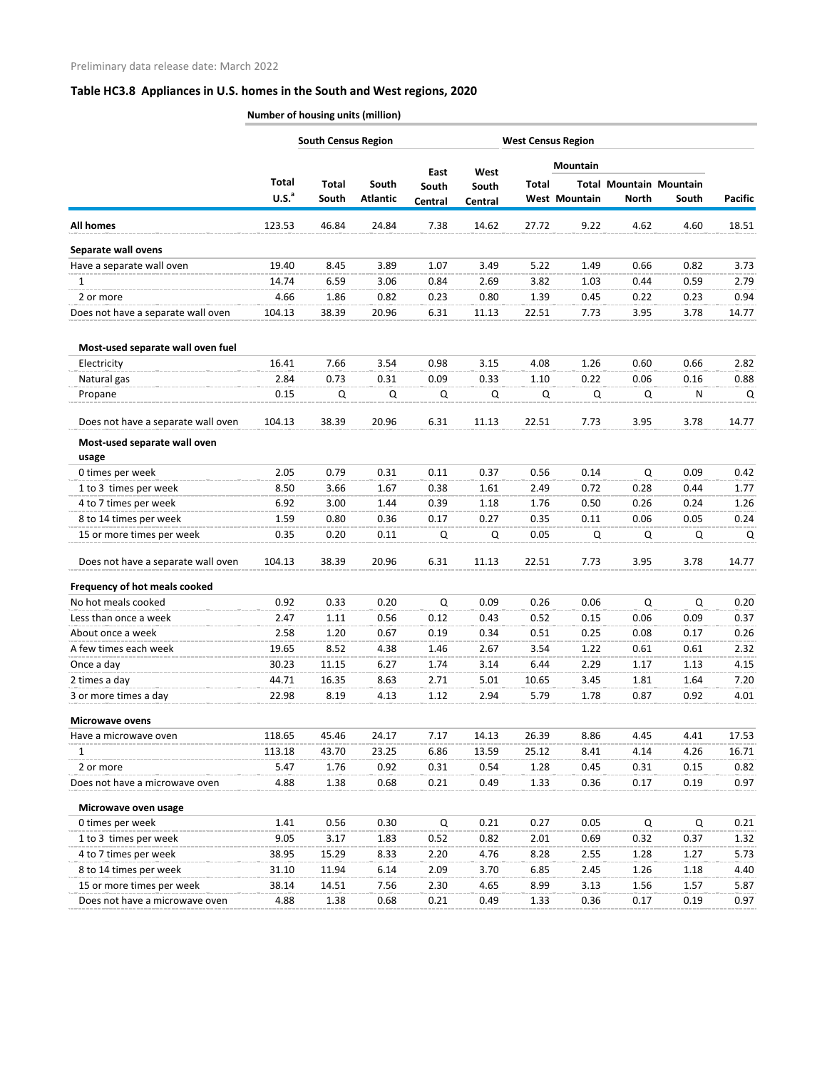|                                       |                            | <b>South Census Region</b> |                          |                  |                  | <b>West Census Region</b> |               |              |                                         |                |
|---------------------------------------|----------------------------|----------------------------|--------------------------|------------------|------------------|---------------------------|---------------|--------------|-----------------------------------------|----------------|
|                                       |                            |                            |                          | East             | West             |                           | Mountain      |              |                                         |                |
|                                       | Total<br>U.S. <sup>a</sup> | <b>Total</b><br>South      | South<br><b>Atlantic</b> | South<br>Central | South<br>Central | <b>Total</b>              | West Mountain | <b>North</b> | <b>Total Mountain Mountain</b><br>South | <b>Pacific</b> |
| <b>All homes</b>                      | 123.53                     | 46.84                      | 24.84                    | 7.38             | 14.62            | 27.72                     | 9.22          | 4.62         | 4.60                                    | 18.51          |
| Separate wall ovens                   |                            |                            |                          |                  |                  |                           |               |              |                                         |                |
| Have a separate wall oven             | 19.40                      | 8.45                       | 3.89                     | 1.07             | 3.49             | 5.22                      | 1.49          | 0.66         | 0.82                                    | 3.73           |
| 1                                     | 14.74                      | 6.59                       | 3.06                     | 0.84             | 2.69             | 3.82                      | 1.03          | 0.44         | 0.59                                    | 2.79           |
| 2 or more                             | 4.66                       | 1.86                       | 0.82                     | 0.23             | 0.80             | 1.39                      | 0.45          | 0.22         | 0.23                                    | 0.94           |
| Does not have a separate wall oven    | 104.13                     | 38.39                      | 20.96                    | 6.31             | 11.13            | 22.51                     | 7.73          | 3.95         | 3.78                                    | 14.77          |
| Most-used separate wall oven fuel     |                            |                            |                          |                  |                  |                           |               |              |                                         |                |
| Electricity                           | 16.41                      | 7.66                       | 3.54                     | 0.98             | 3.15             | 4.08                      | 1.26          | 0.60         | 0.66                                    | 2.82           |
| Natural gas                           | 2.84                       | 0.73                       | 0.31                     | 0.09             | 0.33             | 1.10                      | 0.22          | 0.06         | 0.16                                    | 0.88           |
| Propane                               | 0.15                       | Q                          | Q                        | Q                | Q                | Q                         | Q             | Q            | N                                       | Q              |
| Does not have a separate wall oven    | 104.13                     | 38.39                      | 20.96                    | 6.31             | 11.13            | 22.51                     | 7.73          | 3.95         | 3.78                                    | 14.77          |
| Most-used separate wall oven<br>usage |                            |                            |                          |                  |                  |                           |               |              |                                         |                |
| 0 times per week                      | 2.05                       | 0.79                       | 0.31                     | 0.11             | 0.37             | 0.56                      | 0.14          | Q            | 0.09                                    | 0.42           |
| 1 to 3 times per week                 | 8.50                       | 3.66                       | 1.67                     | 0.38             | 1.61             | 2.49                      | 0.72          | 0.28         | 0.44                                    | 1.77           |
| 4 to 7 times per week                 | 6.92                       | 3.00                       | 1.44                     | 0.39             | 1.18             | 1.76                      | 0.50          | 0.26         | 0.24                                    | 1.26           |
| 8 to 14 times per week                | 1.59                       | 0.80                       | 0.36                     | 0.17             | 0.27             | 0.35                      | 0.11          | 0.06         | 0.05                                    | 0.24           |
| 15 or more times per week             | 0.35                       | 0.20                       | 0.11                     | Q                | Q                | 0.05                      | Q             | Q            | Q                                       | Q              |
| Does not have a separate wall oven    | 104.13                     | 38.39                      | 20.96                    | 6.31             | 11.13            | 22.51                     | 7.73          | 3.95         | 3.78                                    | 14.77          |
| Frequency of hot meals cooked         |                            |                            |                          |                  |                  |                           |               |              |                                         |                |
| No hot meals cooked                   | 0.92                       | 0.33                       | 0.20                     | Q                | 0.09             | 0.26                      | 0.06          | Q            | Q                                       | 0.20           |
| Less than once a week                 | 2.47                       | 1.11                       | 0.56                     | 0.12             | 0.43             | 0.52                      | 0.15          | 0.06         | 0.09                                    | 0.37           |
| About once a week                     | 2.58                       | 1.20                       | 0.67                     | 0.19             | 0.34             | 0.51                      | 0.25          | 0.08         | 0.17                                    | 0.26           |
| A few times each week                 | 19.65                      | 8.52                       | 4.38                     | 1.46             | 2.67             | 3.54                      | 1.22          | 0.61         | 0.61                                    | 2.32           |
| Once a day                            | 30.23                      | 11.15                      | 6.27                     | 1.74             | 3.14             | 6.44                      | 2.29          | 1.17         | 1.13                                    | 4.15           |
| 2 times a day                         | 44.71                      | 16.35                      | 8.63                     | 2.71             | 5.01             | 10.65                     | 3.45          | 1.81         | 1.64                                    | 7.20           |
| 3 or more times a day                 | 22.98                      | 8.19                       | 4.13                     | 1.12             | 2.94             | 5.79                      | 1.78          | 0.87         | 0.92                                    | 4.01           |
| <b>Microwave ovens</b>                |                            |                            |                          |                  |                  |                           |               |              |                                         |                |
| Have a microwave oven                 | 118.65                     | 45.46                      | 24.17                    | 7.17             | 14.13            | 26.39                     | 8.86          | 4.45         | 4.41                                    | 17.53          |
| 1                                     | 113.18                     | 43.70                      | 23.25                    | 6.86             | 13.59            | 25.12                     | 8.41          | 4.14         | 4.26                                    | 16.71          |
| 2 or more                             | 5.47                       | 1.76                       | 0.92                     | 0.31             | 0.54             | 1.28                      | 0.45          | 0.31         | 0.15                                    | 0.82           |
| Does not have a microwave oven        | 4.88                       | 1.38                       | 0.68                     | 0.21             | 0.49             | 1.33                      | 0.36          | 0.17         | 0.19                                    | 0.97           |
| Microwave oven usage                  |                            |                            |                          |                  |                  |                           |               |              |                                         |                |
| 0 times per week                      | 1.41                       | 0.56                       | 0.30                     | Q                | 0.21             | 0.27                      | 0.05          | Q            | Q                                       | 0.21           |
| 1 to 3 times per week                 | 9.05                       | 3.17                       | 1.83                     | 0.52             | 0.82             | 2.01                      | 0.69          | 0.32         | 0.37                                    | 1.32           |
| 4 to 7 times per week                 | 38.95                      | 15.29                      | 8.33                     | 2.20             | 4.76             | 8.28                      | 2.55          | 1.28         | 1.27                                    | 5.73           |
| 8 to 14 times per week                | 31.10                      | 11.94                      | 6.14                     | 2.09             | 3.70             | 6.85                      | 2.45          | 1.26         | 1.18                                    | 4.40           |
| 15 or more times per week             | 38.14                      | 14.51                      | 7.56                     | 2.30             | 4.65             | 8.99                      | 3.13          | 1.56         | 1.57                                    | 5.87           |
| Does not have a microwave oven        | 4.88                       | 1.38                       | 0.68                     | 0.21             | 0.49             | 1.33                      | 0.36          | 0.17         | 0.19                                    | 0.97           |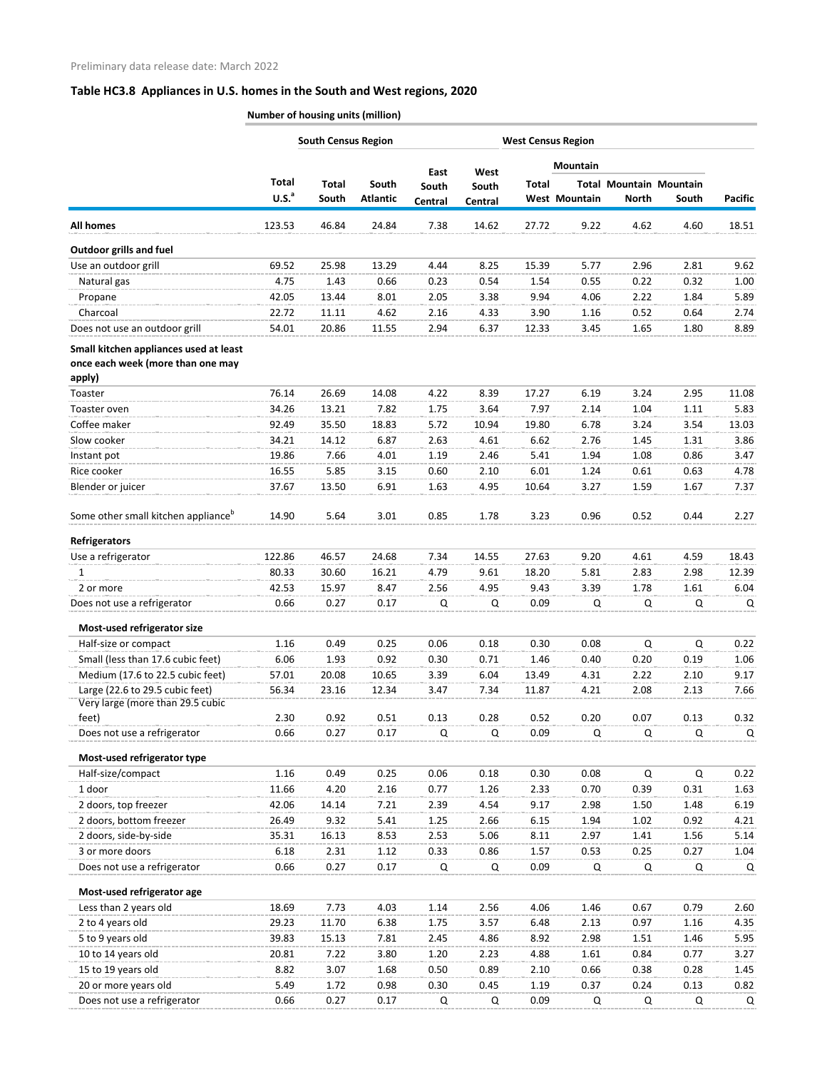|                                                                     |                            | <b>South Census Region</b> |                          |                  |                  | <b>West Census Region</b> |                      |                                                |              |                |
|---------------------------------------------------------------------|----------------------------|----------------------------|--------------------------|------------------|------------------|---------------------------|----------------------|------------------------------------------------|--------------|----------------|
|                                                                     |                            |                            |                          | East             | West             |                           | Mountain             |                                                |              |                |
|                                                                     | Total<br>U.S. <sup>a</sup> | <b>Total</b><br>South      | South<br><b>Atlantic</b> | South<br>Central | South<br>Central | <b>Total</b>              | <b>West Mountain</b> | <b>Total Mountain Mountain</b><br><b>North</b> | South        | <b>Pacific</b> |
| <b>All homes</b>                                                    | 123.53                     | 46.84                      | 24.84                    | 7.38             | 14.62            | 27.72                     | 9.22                 | 4.62                                           | 4.60         | 18.51          |
| <b>Outdoor grills and fuel</b>                                      |                            |                            |                          |                  |                  |                           |                      |                                                |              |                |
| Use an outdoor grill                                                | 69.52                      | 25.98                      | 13.29                    | 4.44             | 8.25             | 15.39                     | 5.77                 | 2.96                                           | 2.81         | 9.62           |
| Natural gas                                                         | 4.75                       | 1.43                       | 0.66                     | 0.23             | 0.54             | 1.54                      | 0.55                 | 0.22                                           | 0.32         | 1.00           |
| Propane                                                             | 42.05                      | 13.44                      | 8.01                     | 2.05             | 3.38             | 9.94                      | 4.06                 | 2.22                                           | 1.84         | 5.89           |
| Charcoal                                                            | 22.72                      | 11.11                      | 4.62                     | 2.16             | 4.33             | 3.90                      | 1.16                 | 0.52                                           | 0.64         | 2.74           |
| Does not use an outdoor grill                                       | 54.01                      | 20.86                      | 11.55                    | 2.94             | 6.37             | 12.33                     | 3.45                 | 1.65                                           | 1.80         | 8.89           |
|                                                                     |                            |                            |                          |                  |                  |                           |                      |                                                |              |                |
| Small kitchen appliances used at least                              |                            |                            |                          |                  |                  |                           |                      |                                                |              |                |
| once each week (more than one may<br>apply)                         |                            |                            |                          |                  |                  |                           |                      |                                                |              |                |
| Toaster                                                             | 76.14                      | 26.69                      | 14.08                    | 4.22             | 8.39             | 17.27                     | 6.19                 | 3.24                                           | 2.95         | 11.08          |
| Toaster oven                                                        | 34.26                      | 13.21                      | 7.82                     | 1.75             | 3.64             | 7.97                      | 2.14                 | 1.04                                           | 1.11         | 5.83           |
| Coffee maker                                                        |                            |                            |                          |                  |                  |                           |                      |                                                | 3.54         |                |
|                                                                     | 92.49                      | 35.50                      | 18.83                    | 5.72             | 10.94            | 19.80                     | 6.78                 | 3.24                                           |              | 13.03          |
| Slow cooker<br>Instant pot                                          | 34.21<br>19.86             | 14.12<br>7.66              | 6.87<br>4.01             | 2.63<br>1.19     | 4.61<br>2.46     | 6.62<br>5.41              | 2.76<br>1.94         | 1.45<br>1.08                                   | 1.31<br>0.86 | 3.86<br>3.47   |
| Rice cooker                                                         | 16.55                      | 5.85                       |                          | 0.60             | 2.10             | 6.01                      | 1.24                 |                                                | 0.63         |                |
| Blender or juicer                                                   | 37.67                      | 13.50                      | 3.15<br>6.91             | 1.63             | 4.95             | 10.64                     | 3.27                 | 0.61<br>1.59                                   | 1.67         | 4.78<br>7.37   |
|                                                                     |                            |                            |                          |                  |                  |                           |                      |                                                |              |                |
| Some other small kitchen appliance <sup>b</sup>                     | 14.90                      | 5.64                       | 3.01                     | 0.85             | 1.78             | 3.23                      | 0.96                 | 0.52                                           | 0.44         | 2.27           |
| <b>Refrigerators</b>                                                |                            |                            |                          |                  |                  |                           |                      |                                                |              |                |
| Use a refrigerator                                                  | 122.86                     | 46.57                      | 24.68                    | 7.34             | 14.55            | 27.63                     | 9.20                 | 4.61                                           | 4.59         | 18.43          |
| 1                                                                   | 80.33                      | 30.60                      | 16.21                    | 4.79             | 9.61             | 18.20                     | 5.81                 | 2.83                                           | 2.98         | 12.39          |
| 2 or more                                                           | 42.53                      | 15.97                      | 8.47                     | 2.56             | 4.95             | 9.43                      | 3.39                 | 1.78                                           | 1.61         | 6.04           |
| Does not use a refrigerator                                         | 0.66                       | 0.27                       | 0.17                     | Q                | Q                | 0.09                      | Q                    | Q                                              | Q            | Q              |
| Most-used refrigerator size                                         |                            |                            |                          |                  |                  |                           |                      |                                                |              |                |
| Half-size or compact                                                | 1.16                       | 0.49                       | 0.25                     | 0.06             | 0.18             | 0.30                      | 0.08                 | Q                                              | Q            | 0.22           |
| Small (less than 17.6 cubic feet)                                   | 6.06                       | 1.93                       | 0.92                     | 0.30             | 0.71             | 1.46                      | 0.40                 | 0.20                                           | 0.19         | 1.06           |
| Medium (17.6 to 22.5 cubic feet)                                    | 57.01                      | 20.08                      | 10.65                    | 3.39             | 6.04             | 13.49                     | 4.31                 | 2.22                                           | 2.10         | 9.17           |
| Large (22.6 to 29.5 cubic feet)<br>Very large (more than 29.5 cubic | 56.34                      | 23.16                      | 12.34                    | 3.47             | 7.34             | 11.87                     | 4.21                 | 2.08                                           | 2.13         | 7.66           |
| feet)                                                               | 2.30                       | 0.92                       | 0.51                     | 0.13             | 0.28             | 0.52                      | 0.20                 | 0.07                                           | 0.13         | 0.32           |
| Does not use a refrigerator                                         | 0.66                       | 0.27                       | 0.17                     | Q                | Q                | 0.09                      | Q                    | Q                                              | Q            | Q              |
| Most-used refrigerator type                                         |                            |                            |                          |                  |                  |                           |                      |                                                |              |                |
| Half-size/compact                                                   | 1.16                       | 0.49                       | 0.25                     | 0.06             | 0.18             | 0.30                      | 0.08                 | Q                                              | Q            | 0.22           |
| 1 door                                                              | 11.66                      | 4.20                       | 2.16                     | 0.77             | 1.26             | 2.33                      | 0.70                 | 0.39                                           | 0.31         | 1.63           |
| 2 doors, top freezer                                                | 42.06                      | 14.14                      | 7.21                     | 2.39             | 4.54             | 9.17                      | 2.98                 | 1.50                                           | 1.48         | 6.19           |
| 2 doors, bottom freezer                                             | 26.49                      | 9.32                       | 5.41                     | 1.25             | 2.66             | 6.15                      | 1.94                 | 1.02                                           | 0.92         | 4.21           |
| 2 doors, side-by-side                                               | 35.31                      | 16.13                      | 8.53                     | 2.53             | 5.06             | 8.11                      | 2.97                 | 1.41                                           | 1.56         | 5.14           |
| 3 or more doors                                                     | 6.18                       | 2.31                       | 1.12                     | 0.33             | 0.86             | 1.57                      | 0.53                 | 0.25                                           | 0.27         | 1.04           |
| Does not use a refrigerator                                         | 0.66                       | 0.27                       | 0.17                     | Q                | Q                | 0.09                      | Q                    | Q                                              | Q            | Q              |
| Most-used refrigerator age                                          |                            |                            |                          |                  |                  |                           |                      |                                                |              |                |
| Less than 2 years old                                               | 18.69                      | 7.73                       | 4.03                     | 1.14             | 2.56             | 4.06                      | 1.46                 | 0.67                                           | 0.79         | 2.60           |
| 2 to 4 years old                                                    | 29.23                      | 11.70                      | 6.38                     | 1.75             | 3.57             | 6.48                      | 2.13                 | 0.97                                           | 1.16         | 4.35           |
| 5 to 9 years old                                                    | 39.83                      | 15.13                      | 7.81                     | 2.45             | 4.86             | 8.92                      | 2.98                 | 1.51                                           | 1.46         | 5.95           |
| 10 to 14 years old                                                  | 20.81                      | 7.22                       | 3.80                     | 1.20             | 2.23             | 4.88                      | 1.61                 | 0.84                                           | 0.77         | 3.27           |
| 15 to 19 years old                                                  | 8.82                       | 3.07                       | 1.68                     | 0.50             | 0.89             | 2.10                      | 0.66                 | 0.38                                           | 0.28         | 1.45           |
| 20 or more years old                                                | 5.49                       | 1.72                       | 0.98                     | 0.30             | 0.45             | 1.19                      | 0.37                 | 0.24                                           | 0.13         | 0.82           |
| Does not use a refrigerator                                         | 0.66                       | 0.27                       | 0.17                     | Q                | Q                | 0.09                      | Q                    | Q                                              | Q            | Q              |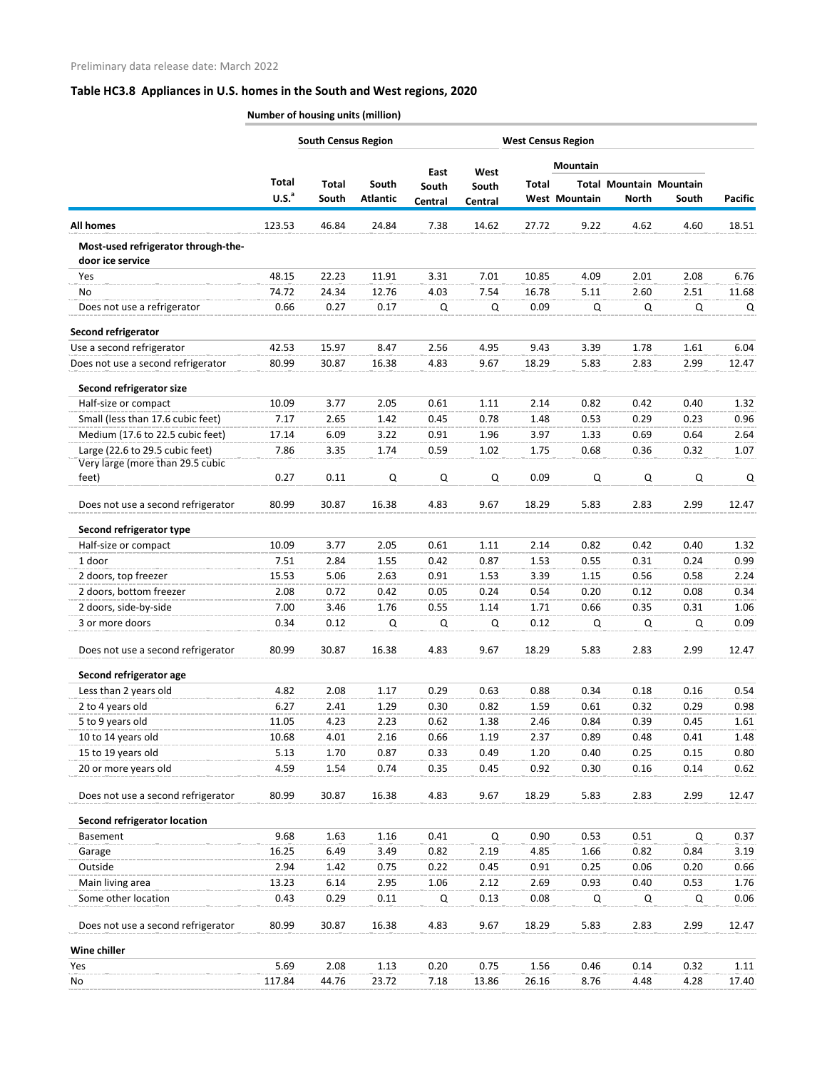|                                     |                   | <b>South Census Region</b> |                 | <b>West Census Region</b> |             |               |                      |              |                                |                |
|-------------------------------------|-------------------|----------------------------|-----------------|---------------------------|-------------|---------------|----------------------|--------------|--------------------------------|----------------|
|                                     |                   |                            |                 | East                      | West        |               | Mountain             |              |                                |                |
|                                     | Total             | <b>Total</b>               | South           | South                     | South       | <b>Total</b>  |                      |              | <b>Total Mountain Mountain</b> |                |
|                                     | U.S. <sup>a</sup> | South                      | <b>Atlantic</b> | Central                   | Central     |               | <b>West Mountain</b> | <b>North</b> | South                          | <b>Pacific</b> |
| <b>All homes</b>                    | 123.53            | 46.84                      | 24.84           | 7.38                      | 14.62       | 27.72         | 9.22                 | 4.62         | 4.60                           | 18.51          |
| Most-used refrigerator through-the- |                   |                            |                 |                           |             |               |                      |              |                                |                |
| door ice service                    |                   |                            |                 |                           |             |               |                      |              |                                |                |
| Yes                                 | 48.15             | 22.23                      | 11.91           | 3.31                      | 7.01        | 10.85         | 4.09                 | 2.01         | 2.08                           | 6.76           |
| No<br>Does not use a refrigerator   | 74.72<br>0.66     | 24.34<br>0.27              | 12.76<br>0.17   | 4.03<br>Q                 | 7.54<br>Q   | 16.78<br>0.09 | 5.11<br>Q            | 2.60<br>Q    | 2.51<br>Q                      | 11.68<br>Q     |
| Second refrigerator                 |                   |                            |                 |                           |             |               |                      |              |                                |                |
| Use a second refrigerator           | 42.53             | 15.97                      | 8.47            | 2.56                      | 4.95        | 9.43          | 3.39                 | 1.78         | 1.61                           | 6.04           |
| Does not use a second refrigerator  | 80.99             | 30.87                      | 16.38           | 4.83                      | 9.67        | 18.29         | 5.83                 | 2.83         | 2.99                           | 12.47          |
| Second refrigerator size            |                   |                            |                 |                           |             |               |                      |              |                                |                |
| Half-size or compact                | 10.09             | 3.77                       | 2.05            | 0.61                      | 1.11        | 2.14          | 0.82                 | 0.42         | 0.40                           | 1.32           |
| Small (less than 17.6 cubic feet)   | 7.17              | 2.65                       | 1.42            | 0.45                      | 0.78        | 1.48          | 0.53                 | 0.29         | 0.23                           | 0.96           |
| Medium (17.6 to 22.5 cubic feet)    | 17.14             | 6.09                       | 3.22            | 0.91                      | 1.96        | 3.97          | 1.33                 | 0.69         | 0.64                           | 2.64           |
| Large (22.6 to 29.5 cubic feet)     | 7.86              | 3.35                       | 1.74            | 0.59                      | 1.02        | 1.75          | 0.68                 | 0.36         | 0.32                           | 1.07           |
| Very large (more than 29.5 cubic    |                   |                            |                 |                           |             |               |                      |              |                                |                |
| feet)                               | 0.27              | 0.11                       | Q               | Q                         | Q           | 0.09          | Q                    | Q            | Q                              | Q              |
| Does not use a second refrigerator  | 80.99             | 30.87                      | 16.38           | 4.83                      | 9.67        | 18.29         | 5.83                 | 2.83         | 2.99                           | 12.47          |
| Second refrigerator type            |                   |                            |                 |                           |             |               |                      |              |                                |                |
| Half-size or compact                | 10.09             | 3.77                       | 2.05            | 0.61                      | 1.11        | 2.14          | 0.82                 | 0.42         | 0.40                           | 1.32           |
| 1 door                              | 7.51              | 2.84                       | 1.55            | 0.42                      | 0.87        | 1.53          | 0.55                 | 0.31         | 0.24                           | 0.99           |
| 2 doors, top freezer                | 15.53             | 5.06                       | 2.63            | 0.91                      | 1.53        | 3.39          | 1.15                 | 0.56         | 0.58                           | 2.24           |
| 2 doors, bottom freezer             | 2.08              | 0.72                       | 0.42            | 0.05                      | 0.24        | 0.54          | 0.20                 | 0.12         | 0.08                           | 0.34           |
| 2 doors, side-by-side               | 7.00              | 3.46                       | 1.76            | 0.55                      | 1.14        | 1.71          | 0.66                 | 0.35         | 0.31                           | 1.06           |
| 3 or more doors                     | 0.34              | 0.12                       | Q               | Q                         | Q           | 0.12          | Q                    | Q            | Q                              | 0.09           |
| Does not use a second refrigerator  | 80.99             | 30.87                      | 16.38           | 4.83                      | 9.67        | 18.29         | 5.83                 | 2.83         | 2.99                           | 12.47          |
| Second refrigerator age             |                   |                            |                 |                           |             |               |                      |              |                                |                |
| Less than 2 years old               | 4.82              | 2.08                       | 1.17            | 0.29                      | 0.63        | 0.88          | 0.34                 | 0.18         | 0.16                           | 0.54           |
| 2 to 4 years old                    | 6.27              | 2.41                       | 1.29            | 0.30                      | 0.82        | 1.59          | 0.61                 | 0.32         | 0.29                           | 0.98           |
| 5 to 9 years old                    | 11.05             | 4.23                       | 2.23            | 0.62                      | 1.38        | 2.46          | 0.84                 | 0.39         | 0.45                           | 1.61           |
| 10 to 14 years old                  | 10.68             | 4.01                       | 2.16            | 0.66                      | 1.19        | 2.37          | 0.89                 | 0.48         | 0.41                           | 1.48           |
| 15 to 19 years old                  | 5.13              | 1.70                       | 0.87            | 0.33                      | 0.49        | 1.20          | 0.40                 | 0.25         | 0.15                           | 0.80           |
| 20 or more years old                | 4.59              | 1.54                       | 0.74            | 0.35                      | 0.45        | 0.92          | 0.30                 | 0.16         | 0.14                           | 0.62           |
| Does not use a second refrigerator  | 80.99             | 30.87                      | 16.38           | 4.83                      | 9.67        | 18.29         | 5.83                 | 2.83         | 2.99                           | 12.47          |
| <b>Second refrigerator location</b> |                   |                            |                 |                           |             |               |                      |              |                                |                |
| Basement                            | 9.68              | 1.63                       | 1.16            | 0.41                      | $\mathsf Q$ | 0.90          | 0.53                 | 0.51         | Q                              | 0.37           |
| Garage                              | 16.25             | 6.49                       | 3.49            | 0.82                      | 2.19        | 4.85          | 1.66                 | 0.82         | 0.84                           | 3.19           |
| Outside                             | 2.94              | 1.42                       | 0.75            | 0.22                      | 0.45        | 0.91          | 0.25                 | 0.06         | 0.20                           | 0.66           |
| Main living area                    | 13.23             | 6.14                       | 2.95            | 1.06                      | 2.12        | 2.69          | 0.93                 | 0.40         | 0.53                           | 1.76           |
| Some other location                 | 0.43              | 0.29                       | 0.11            | Q                         | 0.13        | 0.08          | Q                    | Q            | Q                              | 0.06           |
| Does not use a second refrigerator  | 80.99             | 30.87                      | 16.38           | 4.83                      | 9.67        | 18.29         | 5.83                 | 2.83         | 2.99                           | 12.47          |
| Wine chiller                        |                   |                            |                 |                           |             |               |                      |              |                                |                |
| Yes                                 | 5.69              | 2.08                       | 1.13            | 0.20                      | 0.75        | 1.56          | 0.46                 | 0.14         | 0.32                           | 1.11           |
| No                                  | 117.84            | 44.76                      | 23.72           | 7.18                      | 13.86       | 26.16         | 8.76                 | 4.48         | 4.28                           | 17.40          |
|                                     |                   |                            |                 |                           |             |               |                      |              |                                |                |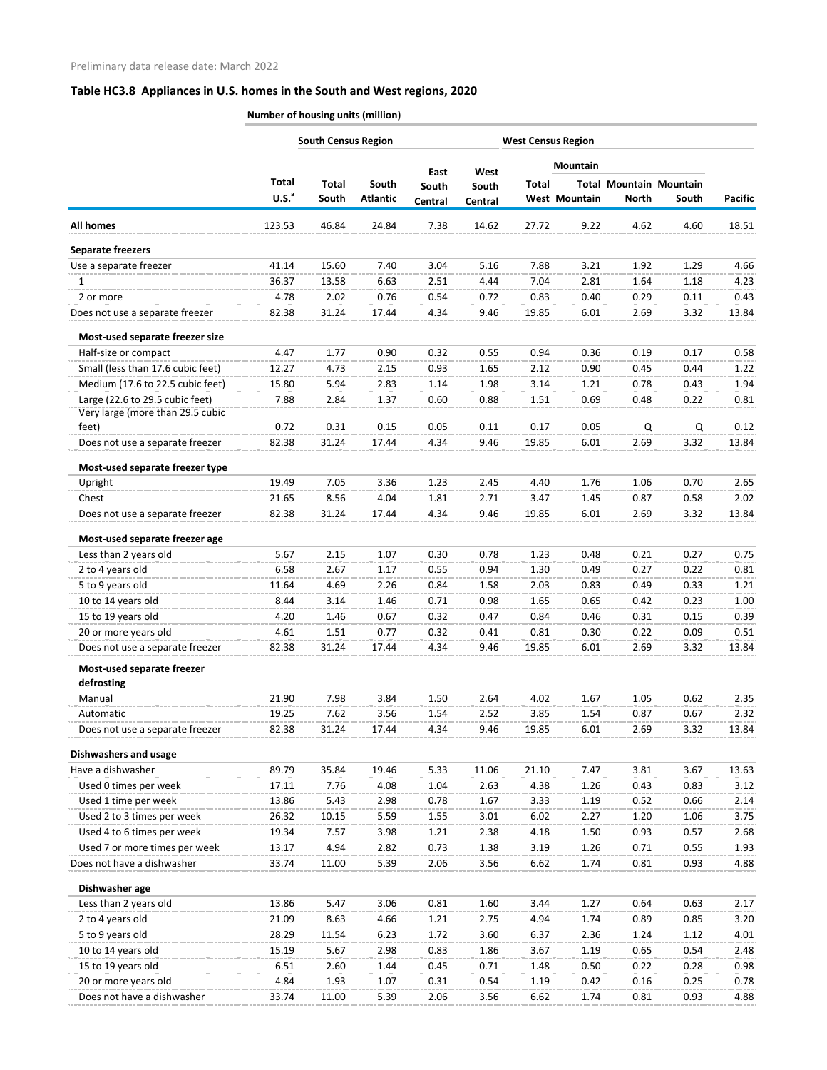|                                                                     |                   | <b>South Census Region</b> |                 |               |               |              | <b>West Census Region</b> |                                |             |         |
|---------------------------------------------------------------------|-------------------|----------------------------|-----------------|---------------|---------------|--------------|---------------------------|--------------------------------|-------------|---------|
|                                                                     |                   |                            |                 |               |               |              | <b>Mountain</b>           |                                |             |         |
|                                                                     | <b>Total</b>      | Total                      | South           | East<br>South | West<br>South | <b>Total</b> |                           | <b>Total Mountain Mountain</b> |             |         |
|                                                                     | U.S. <sup>a</sup> | South                      | <b>Atlantic</b> | Central       | Central       |              | <b>West Mountain</b>      | <b>North</b>                   | South       | Pacific |
| <b>All homes</b>                                                    | 123.53            | 46.84                      | 24.84           | 7.38          | 14.62         | 27.72        | 9.22                      | 4.62                           | 4.60        | 18.51   |
| <b>Separate freezers</b>                                            |                   |                            |                 |               |               |              |                           |                                |             |         |
| Use a separate freezer                                              | 41.14             | 15.60                      | 7.40            | 3.04          | 5.16          | 7.88         | 3.21                      | 1.92                           | 1.29        | 4.66    |
| 1                                                                   | 36.37             | 13.58                      | 6.63            | 2.51          | 4.44          | 7.04         | 2.81                      | 1.64                           | 1.18        | 4.23    |
| 2 or more                                                           | 4.78              | 2.02                       | 0.76            | 0.54          | 0.72          | 0.83         | 0.40                      | 0.29                           | 0.11        | 0.43    |
| Does not use a separate freezer                                     | 82.38             | 31.24                      | 17.44           | 4.34          | 9.46          | 19.85        | 6.01                      | 2.69                           | 3.32        | 13.84   |
| Most-used separate freezer size                                     |                   |                            |                 |               |               |              |                           |                                |             |         |
| Half-size or compact                                                | 4.47              | 1.77                       | 0.90            | 0.32          | 0.55          | 0.94         | 0.36                      | 0.19                           | 0.17        | 0.58    |
| Small (less than 17.6 cubic feet)                                   | 12.27             | 4.73                       | 2.15            | 0.93          | 1.65          | 2.12         | 0.90                      | 0.45                           | 0.44        | 1.22    |
| Medium (17.6 to 22.5 cubic feet)                                    | 15.80             | 5.94                       | 2.83            | 1.14          | 1.98          | 3.14         | 1.21                      | 0.78                           | 0.43        | 1.94    |
| Large (22.6 to 29.5 cubic feet)<br>Very large (more than 29.5 cubic | 7.88              | 2.84                       | 1.37            | 0.60          | 0.88          | 1.51         | 0.69                      | 0.48                           | 0.22        | 0.81    |
| feet)                                                               | 0.72              | 0.31                       | 0.15            | 0.05          | 0.11          | 0.17         | 0.05                      | Q                              | $\mathsf Q$ | 0.12    |
| Does not use a separate freezer                                     | 82.38             | 31.24                      | 17.44           | 4.34          | 9.46          | 19.85        | 6.01                      | 2.69                           | 3.32        | 13.84   |
| Most-used separate freezer type                                     |                   |                            |                 |               |               |              |                           |                                |             |         |
| Upright                                                             | 19.49             | 7.05                       | 3.36            | 1.23          | 2.45          | 4.40         | 1.76                      | 1.06                           | 0.70        | 2.65    |
| Chest                                                               | 21.65             | 8.56                       | 4.04            | 1.81          | 2.71          | 3.47         | 1.45                      | 0.87                           | 0.58        | 2.02    |
| Does not use a separate freezer                                     | 82.38             | 31.24                      | 17.44           | 4.34          | 9.46          | 19.85        | 6.01                      | 2.69                           | 3.32        | 13.84   |
| Most-used separate freezer age                                      |                   |                            |                 |               |               |              |                           |                                |             |         |
| Less than 2 years old                                               | 5.67              | 2.15                       | 1.07            | 0.30          | 0.78          | 1.23         | 0.48                      | 0.21                           | 0.27        | 0.75    |
| 2 to 4 years old                                                    | 6.58              | 2.67                       | 1.17            | 0.55          | 0.94          | 1.30         | 0.49                      | 0.27                           | 0.22        | 0.81    |
| 5 to 9 years old                                                    | 11.64             | 4.69                       | 2.26            | 0.84          | 1.58          | 2.03         | 0.83                      | 0.49                           | 0.33        | 1.21    |
| 10 to 14 years old                                                  | 8.44              | 3.14                       | 1.46            | 0.71          | 0.98          | 1.65         | 0.65                      | 0.42                           | 0.23        | 1.00    |
| 15 to 19 years old                                                  | 4.20              | 1.46                       | 0.67            | 0.32          | 0.47          | 0.84         | 0.46                      | 0.31                           | 0.15        | 0.39    |
| 20 or more years old                                                | 4.61              | 1.51                       | 0.77            | 0.32          | 0.41          | 0.81         | 0.30                      | 0.22                           | 0.09        | 0.51    |
| Does not use a separate freezer                                     | 82.38             | 31.24                      | 17.44           | 4.34          | 9.46          | 19.85        | 6.01                      | 2.69                           | 3.32        | 13.84   |
| Most-used separate freezer<br>defrosting                            |                   |                            |                 |               |               |              |                           |                                |             |         |
| Manual                                                              | 21.90             | 7.98                       | 3.84            | 1.50          | 2.64          | 4.02         | 1.67                      | 1.05                           | 0.62        | 2.35    |
| Automatic                                                           | 19.25             | 7.62                       | 3.56            | 1.54          | 2.52          | 3.85         | 1.54                      | 0.87                           | 0.67        | 2.32    |
| Does not use a separate freezer                                     | 82.38             | 31.24                      | 17.44           | 4.34          | 9.46          | 19.85        | 6.01                      | 2.69                           | 3.32        | 13.84   |
| <b>Dishwashers and usage</b>                                        |                   |                            |                 |               |               |              |                           |                                |             |         |
| Have a dishwasher                                                   | 89.79             | 35.84                      | 19.46           | 5.33          | 11.06         | 21.10        | 7.47                      | 3.81                           | 3.67        | 13.63   |
| Used 0 times per week                                               | 17.11             | 7.76                       | 4.08            | 1.04          | 2.63          | 4.38         | 1.26                      | 0.43                           | 0.83        | 3.12    |
| Used 1 time per week                                                | 13.86             | 5.43                       | 2.98            | 0.78          | 1.67          | 3.33         | 1.19                      | 0.52                           | 0.66        | 2.14    |
| Used 2 to 3 times per week                                          | 26.32             | 10.15                      | 5.59            | 1.55          | 3.01          | 6.02         | 2.27                      | 1.20                           | 1.06        | 3.75    |
| Used 4 to 6 times per week                                          | 19.34             | 7.57                       | 3.98            | 1.21          | 2.38          | 4.18         | 1.50                      | 0.93                           | 0.57        | 2.68    |
| Used 7 or more times per week                                       | 13.17             | 4.94                       | 2.82            | 0.73          | 1.38          | 3.19         | 1.26                      | 0.71                           | 0.55        | 1.93    |
| Does not have a dishwasher                                          | 33.74             | 11.00                      | 5.39            | 2.06          | 3.56          | 6.62         | 1.74                      | 0.81                           | 0.93        | 4.88    |
| Dishwasher age                                                      |                   |                            |                 |               |               |              |                           |                                |             |         |
| Less than 2 years old                                               | 13.86             | 5.47                       | 3.06            | 0.81          | 1.60          | 3.44         | 1.27                      | 0.64                           | 0.63        | 2.17    |
| 2 to 4 years old                                                    | 21.09             | 8.63                       | 4.66            | 1.21          | 2.75          | 4.94         | 1.74                      | 0.89                           | 0.85        | 3.20    |
| 5 to 9 years old                                                    | 28.29             | 11.54                      | 6.23            | 1.72          | 3.60          | 6.37         | 2.36                      | 1.24                           | 1.12        | 4.01    |
| 10 to 14 years old                                                  | 15.19             | 5.67                       | 2.98            | 0.83          | 1.86          | 3.67         | 1.19                      | 0.65                           | 0.54        | 2.48    |
| 15 to 19 years old                                                  | 6.51              | 2.60                       | 1.44            | 0.45          | 0.71          | 1.48         | 0.50                      | 0.22                           | 0.28        | 0.98    |
| 20 or more years old                                                | 4.84              | 1.93                       | 1.07            | 0.31          | 0.54          | 1.19         | 0.42                      | 0.16                           | 0.25        | 0.78    |
| Does not have a dishwasher                                          | 33.74             | 11.00                      | 5.39            | 2.06          | 3.56          | 6.62         | 1.74                      | 0.81                           | 0.93        | 4.88    |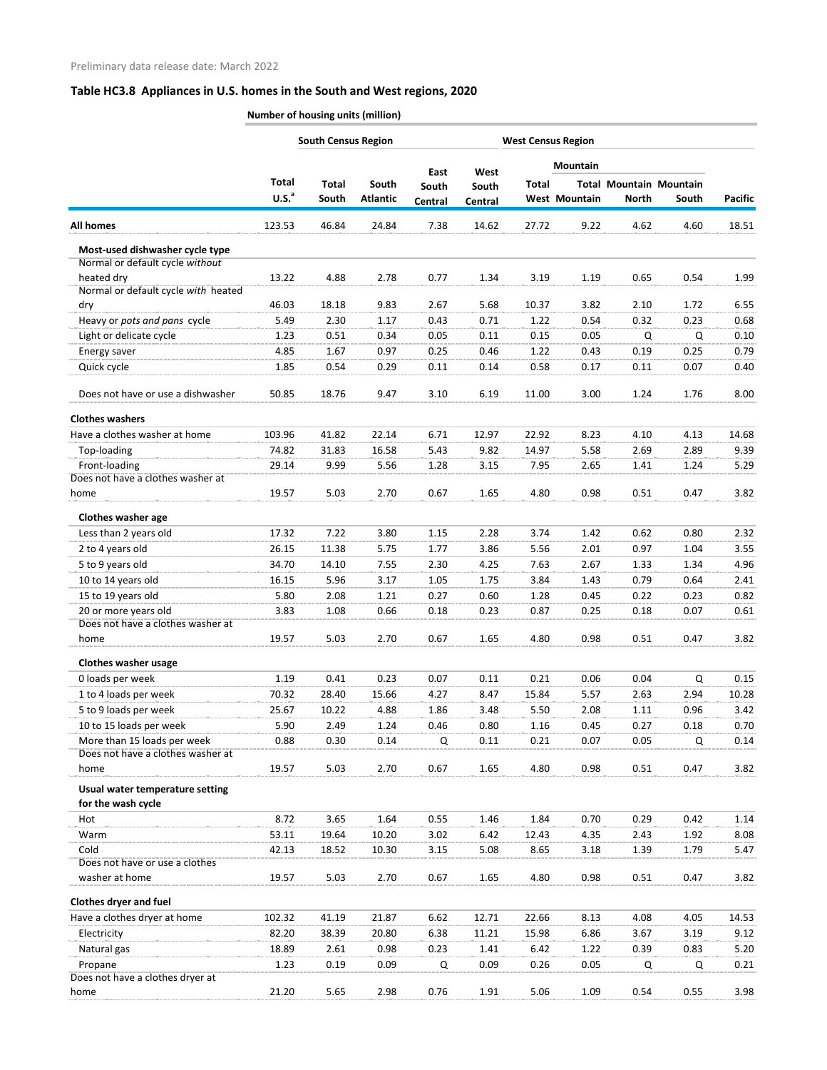|                                                                    | <b>South Census Region</b> |              |                 |                |               | <b>West Census Region</b> |               |                                |       |                |
|--------------------------------------------------------------------|----------------------------|--------------|-----------------|----------------|---------------|---------------------------|---------------|--------------------------------|-------|----------------|
|                                                                    |                            |              |                 |                |               |                           | Mountain      |                                |       |                |
|                                                                    | Total                      | <b>Total</b> | South           | East<br>South  | West<br>South | <b>Total</b>              |               | <b>Total Mountain Mountain</b> |       |                |
|                                                                    | U.S. <sup>a</sup>          | South        | <b>Atlantic</b> | <b>Central</b> | Central       |                           | West Mountain | <b>North</b>                   | South | <b>Pacific</b> |
| <b>All homes</b>                                                   | 123.53                     | 46.84        | 24.84           | 7.38           | 14.62         | 27.72                     | 9.22          | 4.62                           | 4.60  | 18.51          |
| Most-used dishwasher cycle type<br>Normal or default cycle without |                            |              |                 |                |               |                           |               |                                |       |                |
| heated dry                                                         | 13.22                      | 4.88         | 2.78            | 0.77           | 1.34          | 3.19                      | 1.19          | 0.65                           | 0.54  | 1.99           |
| Normal or default cycle with heated                                |                            |              |                 |                |               |                           |               |                                |       |                |
| dry                                                                | 46.03                      | 18.18        | 9.83            | 2.67           | 5.68          | 10.37                     | 3.82          | 2.10                           | 1.72  | 6.55           |
| Heavy or pots and pans cycle                                       | 5.49                       | 2.30         | 1.17            | 0.43           | 0.71          | 1.22                      | 0.54          | 0.32                           | 0.23  | 0.68           |
| Light or delicate cycle                                            | 1.23                       | 0.51         | 0.34            | 0.05           | 0.11          | 0.15                      | 0.05          | Q                              | Q     | 0.10           |
| Energy saver                                                       | 4.85                       | 1.67         | 0.97            | 0.25           | 0.46          | 1.22                      | 0.43          | 0.19                           | 0.25  | 0.79           |
| Quick cycle                                                        | 1.85                       | 0.54         | 0.29            | 0.11           | 0.14          | 0.58                      | 0.17          | 0.11                           | 0.07  | 0.40           |
| Does not have or use a dishwasher                                  | 50.85                      | 18.76        | 9.47            | 3.10           | 6.19          | 11.00                     | 3.00          | 1.24                           | 1.76  | 8.00           |
| <b>Clothes washers</b>                                             |                            |              |                 |                |               |                           |               |                                |       |                |
| Have a clothes washer at home                                      | 103.96                     | 41.82        | 22.14           | 6.71           | 12.97         | 22.92                     | 8.23          | 4.10                           | 4.13  | 14.68          |
| Top-loading                                                        | 74.82                      | 31.83        | 16.58           | 5.43           | 9.82          | 14.97                     | 5.58          | 2.69                           | 2.89  | 9.39           |
| Front-loading                                                      | 29.14                      | 9.99         | 5.56            | 1.28           | 3.15          | 7.95                      | 2.65          | 1.41                           | 1.24  | 5.29           |
| Does not have a clothes washer at                                  |                            |              |                 |                |               |                           |               |                                |       |                |
| home                                                               | 19.57                      | 5.03         | 2.70            | 0.67           | 1.65          | 4.80                      | 0.98          | 0.51                           | 0.47  | 3.82           |
| <b>Clothes washer age</b>                                          |                            |              |                 |                |               |                           |               |                                |       |                |
| Less than 2 years old                                              | 17.32                      | 7.22         | 3.80            | 1.15           | 2.28          | 3.74                      | 1.42          | 0.62                           | 0.80  | 2.32           |
| 2 to 4 years old                                                   | 26.15                      | 11.38        | 5.75            | 1.77           | 3.86          | 5.56                      | 2.01          | 0.97                           | 1.04  | 3.55           |
| 5 to 9 years old                                                   | 34.70                      | 14.10        | 7.55            | 2.30           | 4.25          | 7.63                      | 2.67          | 1.33                           | 1.34  | 4.96           |
| 10 to 14 years old                                                 | 16.15                      | 5.96         | 3.17            | 1.05           | 1.75          | 3.84                      | 1.43          | 0.79                           | 0.64  | 2.41           |
| 15 to 19 years old                                                 | 5.80                       | 2.08         | 1.21            | 0.27           | 0.60          | 1.28                      | 0.45          | 0.22                           | 0.23  | 0.82           |
| 20 or more years old                                               | 3.83                       | 1.08         | 0.66            | 0.18           | 0.23          | 0.87                      | 0.25          | 0.18                           | 0.07  | 0.61           |
| Does not have a clothes washer at                                  |                            |              |                 |                |               |                           |               |                                |       |                |
| home                                                               | 19.57                      | 5.03         | 2.70            | 0.67           | 1.65          | 4.80                      | 0.98          | 0.51                           | 0.47  | 3.82           |
| <b>Clothes washer usage</b>                                        |                            |              |                 |                |               |                           |               |                                |       |                |
| 0 loads per week                                                   | 1.19                       | 0.41         | 0.23            | 0.07           | 0.11          | 0.21                      | 0.06          | 0.04                           | Q     | 0.15           |
| 1 to 4 loads per week                                              | 70.32                      | 28.40        | 15.66           | 4.27           | 8.47          | 15.84                     | 5.57          | 2.63                           | 2.94  | 10.28          |
| 5 to 9 loads per week                                              | 25.67                      | 10.22        | 4.88            | 1.86           | 3.48          | 5.50                      | 2.08          | 1.11                           | 0.96  | 3.42           |
| 10 to 15 loads per week                                            | 5.90                       | 2.49         | 1.24            | 0.46           | 0.80          | 1.16                      | 0.45          | 0.27                           | 0.18  | 0.70           |
| More than 15 loads per week                                        | 0.88                       | 0.30         | 0.14            | Q              | 0.11          | 0.21                      | 0.07          | 0.05                           | Q     | 0.14           |
| Does not have a clothes washer at                                  |                            |              |                 |                |               |                           |               |                                |       |                |
| home                                                               | 19.57                      | 5.03         | 2.70            | 0.67           | 1.65          | 4.80                      | 0.98          | 0.51                           | 0.47  | 3.82           |
| Usual water temperature setting<br>for the wash cycle              |                            |              |                 |                |               |                           |               |                                |       |                |
| Hot                                                                | 8.72                       | 3.65         | 1.64            | 0.55           | 1.46          | 1.84                      | 0.70          | 0.29                           | 0.42  | 1.14           |
| Warm                                                               | 53.11                      | 19.64        | 10.20           | 3.02           | 6.42          | 12.43                     | 4.35          | 2.43                           | 1.92  | 8.08           |
| Cold                                                               | 42.13                      | 18.52        | 10.30           | 3.15           | 5.08          | 8.65                      | 3.18          | 1.39                           | 1.79  | 5.47           |
| Does not have or use a clothes                                     |                            |              |                 |                |               |                           |               |                                |       |                |
| washer at home                                                     | 19.57                      | 5.03         | 2.70            | 0.67           | 1.65          | 4.80                      | 0.98          | 0.51                           | 0.47  | 3.82           |
| <b>Clothes dryer and fuel</b>                                      |                            |              |                 |                |               |                           |               |                                |       |                |
| Have a clothes dryer at home                                       | 102.32                     | 41.19        | 21.87           | 6.62           | 12.71         | 22.66                     | 8.13          | 4.08                           | 4.05  | 14.53          |
| Electricity                                                        | 82.20                      | 38.39        | 20.80           | 6.38           | 11.21         | 15.98                     | 6.86          | 3.67                           | 3.19  | 9.12           |
| Natural gas                                                        | 18.89                      | 2.61         | 0.98            | 0.23           | 1.41          | 6.42                      | 1.22          | 0.39                           | 0.83  | 5.20           |
| Propane<br>Does not have a clothes dryer at                        | 1.23                       | 0.19         | 0.09            | Q              | 0.09          | 0.26                      | 0.05          | Q                              | Q     | 0.21           |
| home                                                               | 21.20                      | 5.65         | 2.98            | 0.76           | 1.91          | 5.06                      | 1.09          | 0.54                           | 0.55  | 3.98           |
|                                                                    |                            |              |                 |                |               |                           |               |                                |       |                |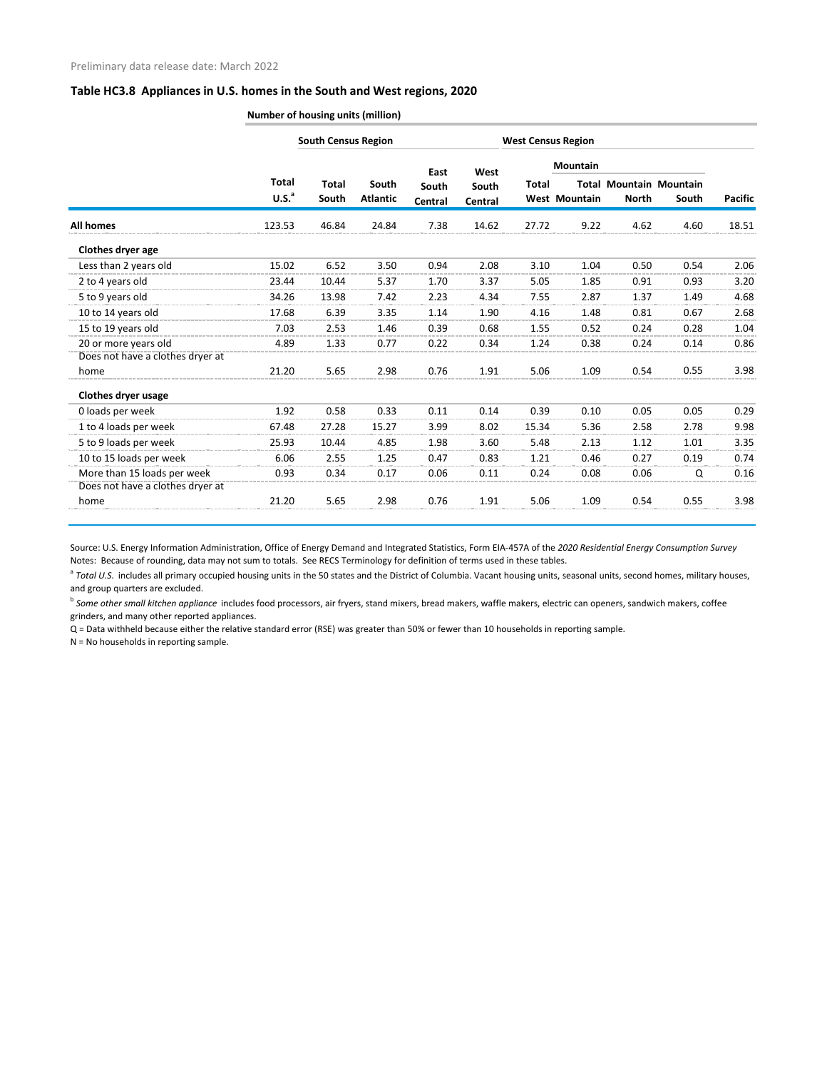**Number of housing units (million)**

|                                  |                                   | <b>South Census Region</b> |                          |                          | <b>West Census Region</b> |              |                                         |              |                                         |                |
|----------------------------------|-----------------------------------|----------------------------|--------------------------|--------------------------|---------------------------|--------------|-----------------------------------------|--------------|-----------------------------------------|----------------|
|                                  | <b>Total</b><br>U.S. <sup>a</sup> | <b>Total</b><br>South      | South<br><b>Atlantic</b> | East<br>South<br>Central | West<br>South<br>Central  | <b>Total</b> | <b>Mountain</b><br><b>West Mountain</b> | <b>North</b> | <b>Total Mountain Mountain</b><br>South | <b>Pacific</b> |
| All homes                        | 123.53                            | 46.84                      | 24.84                    | 7.38                     | 14.62                     | 27.72        | 9.22                                    | 4.62         | 4.60                                    | 18.51          |
| Clothes dryer age                |                                   |                            |                          |                          |                           |              |                                         |              |                                         |                |
| Less than 2 years old            | 15.02                             | 6.52                       | 3.50                     | 0.94                     | 2.08                      | 3.10         | 1.04                                    | 0.50         | 0.54                                    | 2.06           |
| 2 to 4 years old                 | 23.44                             | 10.44                      | 5.37                     | 1.70                     | 3.37                      | 5.05         | 1.85                                    | 0.91         | 0.93                                    | 3.20           |
| 5 to 9 years old                 | 34.26                             | 13.98                      | 7.42                     | 2.23                     | 4.34                      | 7.55         | 2.87                                    | 1.37         | 1.49                                    | 4.68           |
| 10 to 14 years old               | 17.68                             | 6.39                       | 3.35                     | 1.14                     | 1.90                      | 4.16         | 1.48                                    | 0.81         | 0.67                                    | 2.68           |
| 15 to 19 years old               | 7.03                              | 2.53                       | 1.46                     | 0.39                     | 0.68                      | 1.55         | 0.52                                    | 0.24         | 0.28                                    | 1.04           |
| 20 or more years old             | 4.89                              | 1.33                       | 0.77                     | 0.22                     | 0.34                      | 1.24         | 0.38                                    | 0.24         | 0.14                                    | 0.86           |
| Does not have a clothes dryer at |                                   |                            |                          |                          |                           |              |                                         |              |                                         |                |
| home                             | 21.20                             | 5.65                       | 2.98                     | 0.76                     | 1.91                      | 5.06         | 1.09                                    | 0.54         | 0.55                                    | 3.98           |
| <b>Clothes dryer usage</b>       |                                   |                            |                          |                          |                           |              |                                         |              |                                         |                |
| 0 loads per week                 | 1.92                              | 0.58                       | 0.33                     | 0.11                     | 0.14                      | 0.39         | 0.10                                    | 0.05         | 0.05                                    | 0.29           |
| 1 to 4 loads per week            | 67.48                             | 27.28                      | 15.27                    | 3.99                     | 8.02                      | 15.34        | 5.36                                    | 2.58         | 2.78                                    | 9.98           |
| 5 to 9 loads per week            | 25.93                             | 10.44                      | 4.85                     | 1.98                     | 3.60                      | 5.48         | 2.13                                    | 1.12         | 1.01                                    | 3.35           |
| 10 to 15 loads per week          | 6.06                              | 2.55                       | 1.25                     | 0.47                     | 0.83                      | 1.21         | 0.46                                    | 0.27         | 0.19                                    | 0.74           |
| More than 15 loads per week      | 0.93                              | 0.34                       | 0.17                     | 0.06                     | 0.11                      | 0.24         | 0.08                                    | 0.06         | Q                                       | 0.16           |
| Does not have a clothes dryer at |                                   |                            |                          |                          |                           |              |                                         |              |                                         |                |
| home                             | 21.20                             | 5.65                       | 2.98                     | 0.76                     | 1.91                      | 5.06         | 1.09                                    | 0.54         | 0.55                                    | 3.98           |

Source: U.S. Energy Information Administration, Office of Energy Demand and Integrated Statistics, Form EIA-457A of the *2020 Residential Energy Consumption Survey* Notes: Because of rounding, data may not sum to totals. See RECS Terminology for definition of terms used in these tables.

<sup>a</sup> Total U.S. includes all primary occupied housing units in the 50 states and the District of Columbia. Vacant housing units, seasonal units, second homes, military houses, and group quarters are excluded.

<sup>b</sup> Some other small kitchen appliance includes food processors, air fryers, stand mixers, bread makers, waffle makers, electric can openers, sandwich makers, coffee grinders, and many other reported appliances.

Q = Data withheld because either the relative standard error (RSE) was greater than 50% or fewer than 10 households in reporting sample.

N = No households in reporting sample.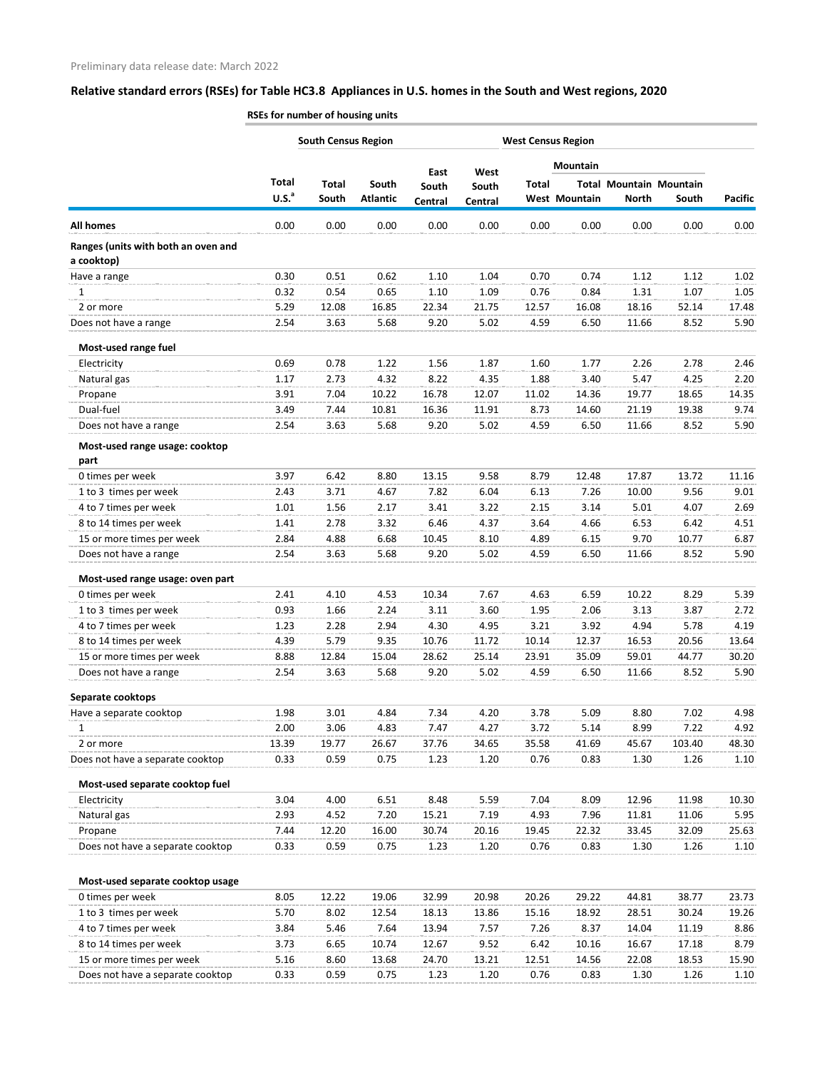|                                                   | <b>South Census Region</b><br><b>West Census Region</b> |                       |                          |                  |                  |              |                      |              |                                         |                |
|---------------------------------------------------|---------------------------------------------------------|-----------------------|--------------------------|------------------|------------------|--------------|----------------------|--------------|-----------------------------------------|----------------|
|                                                   |                                                         |                       |                          | East             | West             |              | <b>Mountain</b>      |              |                                         |                |
|                                                   | Total<br>U.S. <sup>a</sup>                              | <b>Total</b><br>South | South<br><b>Atlantic</b> | South<br>Central | South<br>Central | <b>Total</b> | <b>West Mountain</b> | <b>North</b> | <b>Total Mountain Mountain</b><br>South | <b>Pacific</b> |
| <b>All homes</b>                                  | 0.00                                                    | 0.00                  | 0.00                     | 0.00             | 0.00             | 0.00         | 0.00                 | 0.00         | 0.00                                    | 0.00           |
| Ranges (units with both an oven and<br>a cooktop) |                                                         |                       |                          |                  |                  |              |                      |              |                                         |                |
| Have a range                                      | 0.30                                                    | 0.51                  | 0.62                     | 1.10             | 1.04             | 0.70         | 0.74                 | 1.12         | 1.12                                    | 1.02           |
| 1                                                 | 0.32                                                    | 0.54                  | 0.65                     | 1.10             | 1.09             | 0.76         | 0.84                 | 1.31         | 1.07                                    | 1.05           |
| 2 or more                                         | 5.29                                                    | 12.08                 | 16.85                    | 22.34            | 21.75            | 12.57        | 16.08                | 18.16        | 52.14                                   | 17.48          |
| Does not have a range                             | 2.54                                                    | 3.63                  | 5.68                     | 9.20             | 5.02             | 4.59         | 6.50                 | 11.66        | 8.52                                    | 5.90           |
| Most-used range fuel                              |                                                         |                       |                          |                  |                  |              |                      |              |                                         |                |
| Electricity                                       | 0.69                                                    | 0.78                  | 1.22                     | 1.56             | 1.87             | 1.60         | 1.77                 | 2.26         | 2.78                                    | 2.46           |
| Natural gas                                       | 1.17                                                    | 2.73                  | 4.32                     | 8.22             | 4.35             | 1.88         | 3.40                 | 5.47         | 4.25                                    | 2.20           |
| Propane                                           | 3.91                                                    | 7.04                  | 10.22                    | 16.78            | 12.07            | 11.02        | 14.36                | 19.77        | 18.65                                   | 14.35          |
| Dual-fuel                                         | 3.49                                                    | 7.44                  | 10.81                    | 16.36            | 11.91            | 8.73         | 14.60                | 21.19        | 19.38                                   | 9.74           |
| Does not have a range                             | 2.54                                                    | 3.63                  | 5.68                     | 9.20             | 5.02             | 4.59         | 6.50                 | 11.66        | 8.52                                    | 5.90           |
| Most-used range usage: cooktop                    |                                                         |                       |                          |                  |                  |              |                      |              |                                         |                |
| part                                              |                                                         |                       |                          |                  |                  |              |                      |              |                                         |                |
| 0 times per week                                  | 3.97                                                    | 6.42                  | 8.80                     | 13.15            | 9.58             | 8.79         | 12.48                | 17.87        | 13.72                                   | 11.16          |
| 1 to 3 times per week                             | 2.43                                                    | 3.71                  | 4.67                     | 7.82             | 6.04             | 6.13         | 7.26                 | 10.00        | 9.56                                    | 9.01           |
| 4 to 7 times per week                             | 1.01                                                    | 1.56                  | 2.17                     | 3.41             | 3.22             | 2.15         | 3.14                 | 5.01         | 4.07                                    | 2.69           |
| 8 to 14 times per week                            | 1.41                                                    | 2.78                  | 3.32                     | 6.46             | 4.37             | 3.64         | 4.66                 | 6.53         | 6.42                                    | 4.51           |
| 15 or more times per week                         | 2.84                                                    | 4.88                  | 6.68                     | 10.45            | 8.10             | 4.89         | 6.15                 | 9.70         | 10.77                                   | 6.87           |
| Does not have a range                             | 2.54                                                    | 3.63                  | 5.68                     | 9.20             | 5.02             | 4.59         | 6.50                 | 11.66        | 8.52                                    | 5.90           |
| Most-used range usage: oven part                  |                                                         |                       |                          |                  |                  |              |                      |              |                                         |                |
| 0 times per week                                  | 2.41                                                    | 4.10                  | 4.53                     | 10.34            | 7.67             | 4.63         | 6.59                 | 10.22        | 8.29                                    | 5.39           |
| 1 to 3 times per week                             | 0.93                                                    | 1.66                  | 2.24                     | 3.11             | 3.60             | 1.95         | 2.06                 | 3.13         | 3.87                                    | 2.72           |
| 4 to 7 times per week                             | 1.23                                                    | 2.28                  | 2.94                     | 4.30             | 4.95             | 3.21         | 3.92                 | 4.94         | 5.78                                    | 4.19           |
| 8 to 14 times per week                            | 4.39                                                    | 5.79                  | 9.35                     | 10.76            | 11.72            | 10.14        | 12.37                | 16.53        | 20.56                                   | 13.64          |
| 15 or more times per week                         | 8.88                                                    | 12.84                 | 15.04                    | 28.62            | 25.14            | 23.91        | 35.09                | 59.01        | 44.77                                   | 30.20          |
| Does not have a range                             | 2.54                                                    | 3.63                  | 5.68                     | 9.20             | 5.02             | 4.59         | 6.50                 | 11.66        | 8.52                                    | 5.90           |
| Separate cooktops                                 |                                                         |                       |                          |                  |                  |              |                      |              |                                         |                |
| Have a separate cooktop                           | 1.98                                                    | 3.01                  | 4.84                     | 7.34             | 4.20             | 3.78         | 5.09                 | 8.80         | 7.02                                    | 4.98           |
| 1                                                 | 2.00                                                    | 3.06                  | 4.83                     | 7.47             | 4.27             | 3.72         | 5.14                 | 8.99         | 7.22                                    | 4.92           |
| 2 or more                                         | 13.39                                                   | 19.77                 | 26.67                    | 37.76            | 34.65            | 35.58        | 41.69                | 45.67        | 103.40                                  | 48.30          |
| Does not have a separate cooktop                  | 0.33                                                    | 0.59                  | 0.75                     | 1.23             | 1.20             | 0.76         | 0.83                 | 1.30         | 1.26                                    | 1.10           |
| Most-used separate cooktop fuel                   |                                                         |                       |                          |                  |                  |              |                      |              |                                         |                |
| Electricity                                       | 3.04                                                    | 4.00                  | 6.51                     | 8.48             | 5.59             | 7.04         | 8.09                 | 12.96        | 11.98                                   | 10.30          |
| Natural gas                                       | 2.93                                                    | 4.52                  | 7.20                     | 15.21            | 7.19             | 4.93         | 7.96                 | 11.81        | 11.06                                   | 5.95           |
| Propane                                           | 7.44                                                    | 12.20                 | 16.00                    | 30.74            | 20.16            | 19.45        | 22.32                | 33.45        | 32.09                                   | 25.63          |
| Does not have a separate cooktop                  | 0.33                                                    | 0.59                  | 0.75                     | 1.23             | 1.20             | 0.76         | 0.83                 | 1.30         | 1.26                                    | 1.10           |
| Most-used separate cooktop usage                  |                                                         |                       |                          |                  |                  |              |                      |              |                                         |                |
| 0 times per week                                  | 8.05                                                    | 12.22                 | 19.06                    | 32.99            | 20.98            | 20.26        | 29.22                | 44.81        | 38.77                                   | 23.73          |
| 1 to 3 times per week                             | 5.70                                                    | 8.02                  | 12.54                    | 18.13            | 13.86            | 15.16        | 18.92                | 28.51        | 30.24                                   | 19.26          |
| 4 to 7 times per week                             | 3.84                                                    | 5.46                  | 7.64                     | 13.94            | 7.57             | 7.26         | 8.37                 | 14.04        | 11.19                                   | 8.86           |
| 8 to 14 times per week                            | 3.73                                                    | 6.65                  | 10.74                    | 12.67            | 9.52             | 6.42         | 10.16                | 16.67        | 17.18                                   | 8.79           |
| 15 or more times per week                         | 5.16                                                    | 8.60                  | 13.68                    | 24.70            | 13.21            | 12.51        | 14.56                | 22.08        | 18.53                                   | 15.90          |
| Does not have a separate cooktop                  | 0.33                                                    | 0.59                  | 0.75                     | 1.23             | 1.20             | 0.76         | 0.83                 | 1.30         | 1.26                                    | 1.10           |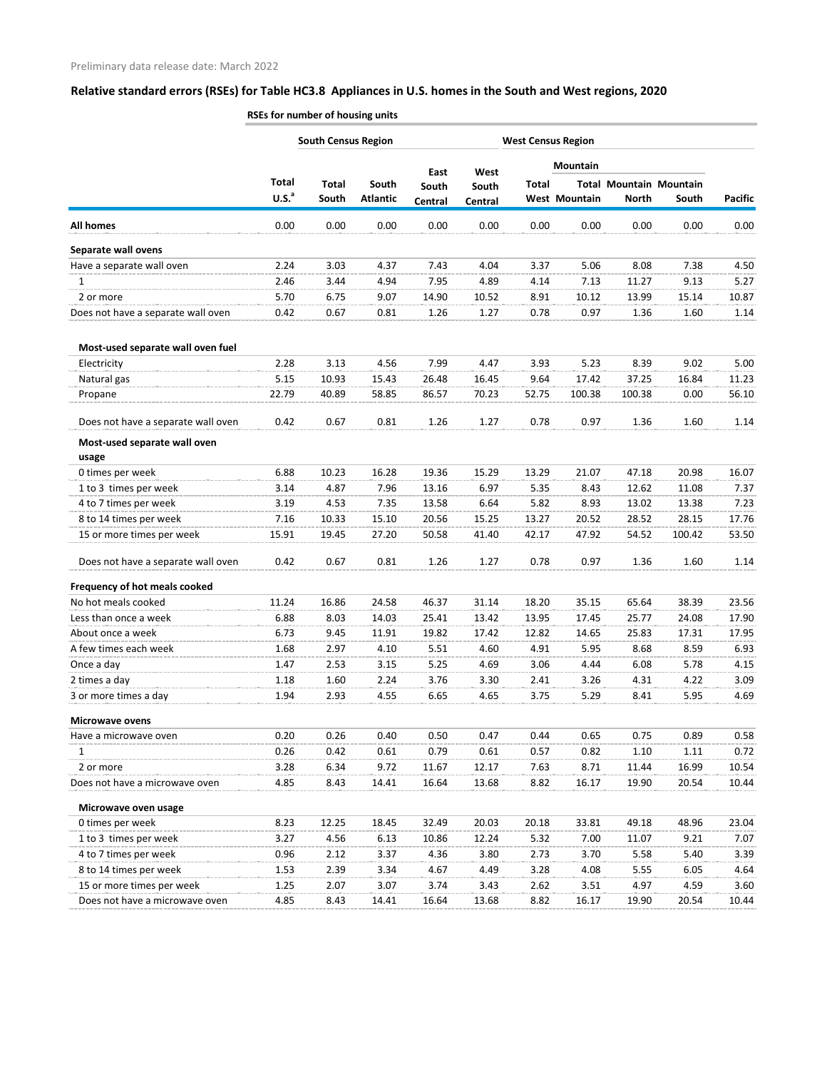|                                    |                   | <b>South Census Region</b> |                 |         |         |       | <b>West Census Region</b> |                                |        |                |
|------------------------------------|-------------------|----------------------------|-----------------|---------|---------|-------|---------------------------|--------------------------------|--------|----------------|
|                                    |                   |                            |                 | East    | West    |       | Mountain                  |                                |        |                |
|                                    | <b>Total</b>      | <b>Total</b>               | South           | South   | South   | Total |                           | <b>Total Mountain Mountain</b> |        |                |
|                                    | U.S. <sup>a</sup> | South                      | <b>Atlantic</b> | Central | Central |       | West Mountain             | <b>North</b>                   | South  | <b>Pacific</b> |
| <b>All homes</b>                   | 0.00              | 0.00                       | 0.00            | 0.00    | 0.00    | 0.00  | 0.00                      | 0.00                           | 0.00   | 0.00           |
| Separate wall ovens                |                   |                            |                 |         |         |       |                           |                                |        |                |
| Have a separate wall oven          | 2.24              | 3.03                       | 4.37            | 7.43    | 4.04    | 3.37  | 5.06                      | 8.08                           | 7.38   | 4.50           |
| $\mathbf{1}$                       | 2.46              | 3.44                       | 4.94            | 7.95    | 4.89    | 4.14  | 7.13                      | 11.27                          | 9.13   | 5.27           |
| 2 or more                          | 5.70              | 6.75                       | 9.07            | 14.90   | 10.52   | 8.91  | 10.12                     | 13.99                          | 15.14  | 10.87          |
| Does not have a separate wall oven | 0.42              | 0.67                       | 0.81            | 1.26    | 1.27    | 0.78  | 0.97                      | 1.36                           | 1.60   | 1.14           |
| Most-used separate wall oven fuel  |                   |                            |                 |         |         |       |                           |                                |        |                |
| Electricity                        | 2.28              | 3.13                       | 4.56            | 7.99    | 4.47    | 3.93  | 5.23                      | 8.39                           | 9.02   | 5.00           |
| Natural gas                        | 5.15              | 10.93                      | 15.43           | 26.48   | 16.45   | 9.64  | 17.42                     | 37.25                          | 16.84  | 11.23          |
| Propane                            | 22.79             | 40.89                      | 58.85           | 86.57   | 70.23   | 52.75 | 100.38                    | 100.38                         | 0.00   | 56.10          |
| Does not have a separate wall oven | 0.42              | 0.67                       | 0.81            | 1.26    | 1.27    | 0.78  | 0.97                      | 1.36                           | 1.60   | 1.14           |
| Most-used separate wall oven       |                   |                            |                 |         |         |       |                           |                                |        |                |
| usage                              |                   |                            |                 |         |         |       |                           |                                |        |                |
| 0 times per week                   | 6.88              | 10.23                      | 16.28           | 19.36   | 15.29   | 13.29 | 21.07                     | 47.18                          | 20.98  | 16.07          |
| 1 to 3 times per week              | 3.14              | 4.87                       | 7.96            | 13.16   | 6.97    | 5.35  | 8.43                      | 12.62                          | 11.08  | 7.37           |
| 4 to 7 times per week              | 3.19              | 4.53                       | 7.35            | 13.58   | 6.64    | 5.82  | 8.93                      | 13.02                          | 13.38  | 7.23           |
| 8 to 14 times per week             | 7.16              | 10.33                      | 15.10           | 20.56   | 15.25   | 13.27 | 20.52                     | 28.52                          | 28.15  | 17.76          |
| 15 or more times per week          | 15.91             | 19.45                      | 27.20           | 50.58   | 41.40   | 42.17 | 47.92                     | 54.52                          | 100.42 | 53.50          |
| Does not have a separate wall oven | 0.42              | 0.67                       | 0.81            | 1.26    | 1.27    | 0.78  | 0.97                      | 1.36                           | 1.60   | 1.14           |
| Frequency of hot meals cooked      |                   |                            |                 |         |         |       |                           |                                |        |                |
| No hot meals cooked                | 11.24             | 16.86                      | 24.58           | 46.37   | 31.14   | 18.20 | 35.15                     | 65.64                          | 38.39  | 23.56          |
| Less than once a week              | 6.88              | 8.03                       | 14.03           | 25.41   | 13.42   | 13.95 | 17.45                     | 25.77                          | 24.08  | 17.90          |
| About once a week                  | 6.73              | 9.45                       | 11.91           | 19.82   | 17.42   | 12.82 | 14.65                     | 25.83                          | 17.31  | 17.95          |
| A few times each week              | 1.68              | 2.97                       | 4.10            | 5.51    | 4.60    | 4.91  | 5.95                      | 8.68                           | 8.59   | 6.93           |
| Once a day                         | 1.47              | 2.53                       | 3.15            | 5.25    | 4.69    | 3.06  | 4.44                      | 6.08                           | 5.78   | 4.15           |
| 2 times a day                      | 1.18              | 1.60                       | 2.24            | 3.76    | 3.30    | 2.41  | 3.26                      | 4.31                           | 4.22   | 3.09           |
| 3 or more times a day              | 1.94              | 2.93                       | 4.55            | 6.65    | 4.65    | 3.75  | 5.29                      | 8.41                           | 5.95   | 4.69           |
| <b>Microwave ovens</b>             |                   |                            |                 |         |         |       |                           |                                |        |                |
| Have a microwave oven              | 0.20              | 0.26                       | 0.40            | 0.50    | 0.47    | 0.44  | 0.65                      | 0.75                           | 0.89   | 0.58           |
| $\mathbf{1}$                       | 0.26              | 0.42                       | 0.61            | 0.79    | 0.61    | 0.57  | 0.82                      | 1.10                           | 1.11   | 0.72           |
| 2 or more                          | 3.28              | 6.34                       | 9.72            | 11.67   | 12.17   | 7.63  | 8.71                      | 11.44                          | 16.99  | 10.54          |
| Does not have a microwave oven     | 4.85              | 8.43                       | 14.41           | 16.64   | 13.68   | 8.82  | 16.17                     | 19.90                          | 20.54  | 10.44          |
| Microwave oven usage               |                   |                            |                 |         |         |       |                           |                                |        |                |
| 0 times per week                   | 8.23              | 12.25                      | 18.45           | 32.49   | 20.03   | 20.18 | 33.81                     | 49.18                          | 48.96  | 23.04          |
| 1 to 3 times per week              | 3.27              | 4.56                       | 6.13            | 10.86   | 12.24   | 5.32  | 7.00                      | 11.07                          | 9.21   | 7.07           |
| 4 to 7 times per week              | 0.96              | 2.12                       | 3.37            | 4.36    | 3.80    | 2.73  | 3.70                      | 5.58                           | 5.40   | 3.39           |
| 8 to 14 times per week             | 1.53              | 2.39                       | 3.34            | 4.67    | 4.49    | 3.28  | 4.08                      | 5.55                           | 6.05   | 4.64           |
| 15 or more times per week          | 1.25              | 2.07                       | 3.07            | 3.74    | 3.43    | 2.62  | 3.51                      | 4.97                           | 4.59   | 3.60           |
| Does not have a microwave oven     | 4.85              | 8.43                       | 14.41           | 16.64   | 13.68   | 8.82  | 16.17                     | 19.90                          | 20.54  | 10.44          |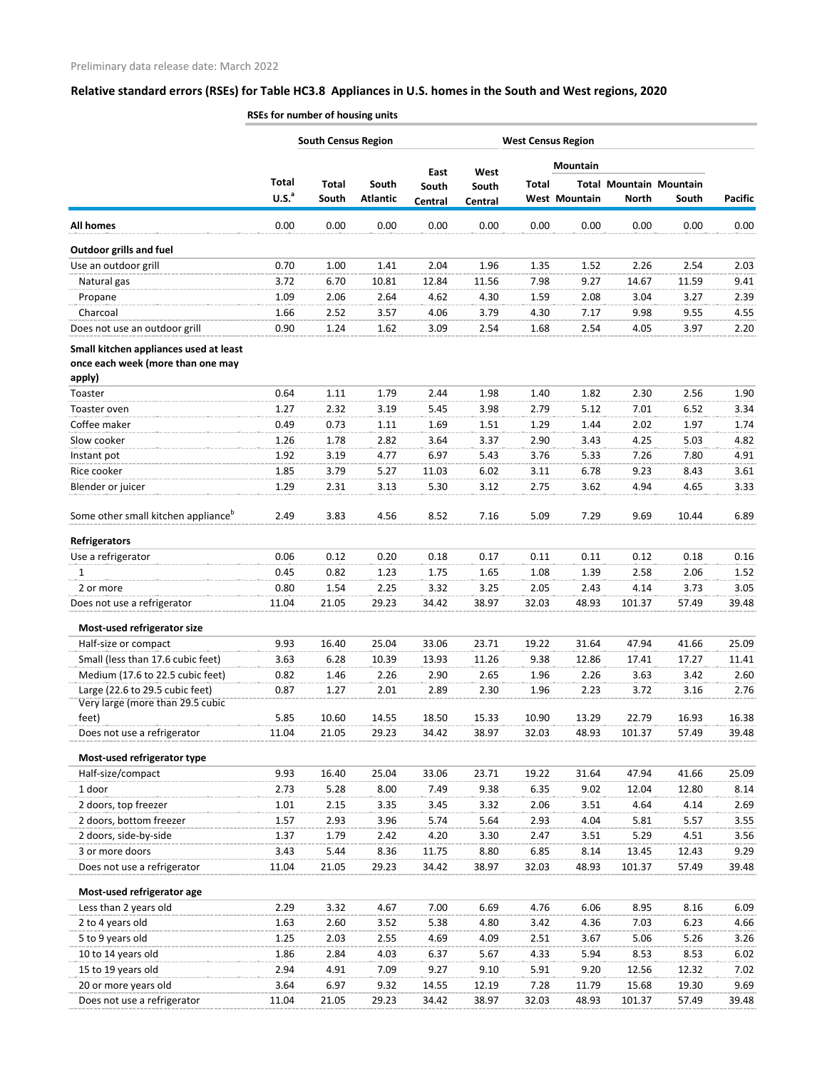|                                                                                       | <b>South Census Region</b><br><b>West Census Region</b> |              |                 |               |               |       |                      |                                |       |                |
|---------------------------------------------------------------------------------------|---------------------------------------------------------|--------------|-----------------|---------------|---------------|-------|----------------------|--------------------------------|-------|----------------|
|                                                                                       |                                                         |              |                 |               |               |       | Mountain             |                                |       |                |
|                                                                                       | <b>Total</b>                                            | <b>Total</b> | South           | East<br>South | West<br>South | Total |                      | <b>Total Mountain Mountain</b> |       |                |
|                                                                                       | U.S. <sup>a</sup>                                       | South        | <b>Atlantic</b> | Central       | Central       |       | <b>West Mountain</b> | <b>North</b>                   | South | <b>Pacific</b> |
| <b>All homes</b>                                                                      | 0.00                                                    | 0.00         | 0.00            | 0.00          | 0.00          | 0.00  | 0.00                 | 0.00                           | 0.00  | 0.00           |
| <b>Outdoor grills and fuel</b>                                                        |                                                         |              |                 |               |               |       |                      |                                |       |                |
| Use an outdoor grill                                                                  | 0.70                                                    | 1.00         | 1.41            | 2.04          | 1.96          | 1.35  | 1.52                 | 2.26                           | 2.54  | 2.03           |
| Natural gas                                                                           | 3.72                                                    | 6.70         | 10.81           | 12.84         | 11.56         | 7.98  | 9.27                 | 14.67                          | 11.59 | 9.41           |
| Propane                                                                               | 1.09                                                    | 2.06         | 2.64            | 4.62          | 4.30          | 1.59  | 2.08                 | 3.04                           | 3.27  | 2.39           |
| Charcoal                                                                              | 1.66                                                    | 2.52         | 3.57            | 4.06          | 3.79          | 4.30  | 7.17                 | 9.98                           | 9.55  | 4.55           |
| Does not use an outdoor grill                                                         | 0.90                                                    | 1.24         | 1.62            | 3.09          | 2.54          | 1.68  | 2.54                 | 4.05                           | 3.97  | 2.20           |
| Small kitchen appliances used at least<br>once each week (more than one may<br>apply) |                                                         |              |                 |               |               |       |                      |                                |       |                |
| Toaster                                                                               | 0.64                                                    | 1.11         | 1.79            | 2.44          | 1.98          | 1.40  | 1.82                 | 2.30                           | 2.56  | 1.90           |
| Toaster oven                                                                          | 1.27                                                    | 2.32         | 3.19            | 5.45          | 3.98          | 2.79  | 5.12                 | 7.01                           | 6.52  | 3.34           |
| Coffee maker                                                                          | 0.49                                                    | 0.73         | 1.11            | 1.69          | 1.51          | 1.29  | 1.44                 | 2.02                           | 1.97  | 1.74           |
| Slow cooker                                                                           | 1.26                                                    | 1.78         | 2.82            | 3.64          | 3.37          | 2.90  | 3.43                 | 4.25                           | 5.03  | 4.82           |
| Instant pot                                                                           | 1.92                                                    | 3.19         | 4.77            | 6.97          | 5.43          | 3.76  | 5.33                 | 7.26                           | 7.80  | 4.91           |
| Rice cooker                                                                           | 1.85                                                    | 3.79         | 5.27            | 11.03         | 6.02          | 3.11  | 6.78                 | 9.23                           | 8.43  | 3.61           |
| Blender or juicer                                                                     | 1.29                                                    | 2.31         | 3.13            | 5.30          | 3.12          | 2.75  | 3.62                 | 4.94                           | 4.65  | 3.33           |
| Some other small kitchen appliance <sup>b</sup>                                       | 2.49                                                    | 3.83         | 4.56            | 8.52          | 7.16          | 5.09  | 7.29                 | 9.69                           | 10.44 | 6.89           |
| Refrigerators                                                                         |                                                         |              |                 |               |               |       |                      |                                |       |                |
| Use a refrigerator                                                                    | 0.06                                                    | 0.12         | 0.20            | 0.18          | 0.17          | 0.11  | 0.11                 | 0.12                           | 0.18  | 0.16           |
| 1                                                                                     | 0.45                                                    | 0.82         | 1.23            | 1.75          | 1.65          | 1.08  | 1.39                 | 2.58                           | 2.06  | 1.52           |
| 2 or more                                                                             | 0.80                                                    | 1.54         | 2.25            | 3.32          | 3.25          | 2.05  | 2.43                 | 4.14                           | 3.73  | 3.05           |
| Does not use a refrigerator                                                           | 11.04                                                   | 21.05        | 29.23           | 34.42         | 38.97         | 32.03 | 48.93                | 101.37                         | 57.49 | 39.48          |
| Most-used refrigerator size                                                           |                                                         |              |                 |               |               |       |                      |                                |       |                |
| Half-size or compact                                                                  | 9.93                                                    | 16.40        | 25.04           | 33.06         | 23.71         | 19.22 | 31.64                | 47.94                          | 41.66 | 25.09          |
| Small (less than 17.6 cubic feet)                                                     | 3.63                                                    | 6.28         | 10.39           | 13.93         | 11.26         | 9.38  | 12.86                | 17.41                          | 17.27 | 11.41          |
| Medium (17.6 to 22.5 cubic feet)                                                      | 0.82                                                    | 1.46         | 2.26            | 2.90          | 2.65          | 1.96  | 2.26                 | 3.63                           | 3.42  | 2.60           |
| Large (22.6 to 29.5 cubic feet)<br>Very large (more than 29.5 cubic                   | 0.87                                                    | 1.27         | 2.01            | 2.89          | 2.30          | 1.96  | 2.23                 | 3.72                           | 3.16  | 2.76           |
| feet)                                                                                 | 5.85                                                    | 10.60        | 14.55           | 18.50         | 15.33         | 10.90 | 13.29                | 22.79                          | 16.93 | 16.38          |
| Does not use a refrigerator                                                           | 11.04                                                   | 21.05        | 29.23           | 34.42         | 38.97         | 32.03 | 48.93                | 101.37                         | 57.49 | 39.48          |
| Most-used refrigerator type                                                           |                                                         |              |                 |               |               |       |                      |                                |       |                |
| Half-size/compact                                                                     | 9.93                                                    | 16.40        | 25.04           | 33.06         | 23.71         | 19.22 | 31.64                | 47.94                          | 41.66 | 25.09          |
| 1 door                                                                                | 2.73                                                    | 5.28         | 8.00            | 7.49          | 9.38          | 6.35  | 9.02                 | 12.04                          | 12.80 | 8.14           |
| 2 doors, top freezer                                                                  | 1.01                                                    | 2.15         | 3.35            | 3.45          | 3.32          | 2.06  | 3.51                 | 4.64                           | 4.14  | 2.69           |
| 2 doors, bottom freezer                                                               | 1.57                                                    | 2.93         | 3.96            | 5.74          | 5.64          | 2.93  | 4.04                 | 5.81                           | 5.57  | 3.55           |
| 2 doors, side-by-side                                                                 | 1.37                                                    | 1.79         | 2.42            | 4.20          | 3.30          | 2.47  | 3.51                 | 5.29                           | 4.51  | 3.56           |
| 3 or more doors                                                                       | 3.43                                                    | 5.44         | 8.36            | 11.75         | 8.80          | 6.85  | 8.14                 | 13.45                          | 12.43 | 9.29           |
| Does not use a refrigerator                                                           | 11.04                                                   | 21.05        | 29.23           | 34.42         | 38.97         | 32.03 | 48.93                | 101.37                         | 57.49 | 39.48          |
| Most-used refrigerator age                                                            |                                                         |              |                 |               |               |       |                      |                                |       |                |
| Less than 2 years old                                                                 | 2.29                                                    | 3.32         | 4.67            | 7.00          | 6.69          | 4.76  | 6.06                 | 8.95                           | 8.16  | 6.09           |
| 2 to 4 years old                                                                      | 1.63                                                    | 2.60         | 3.52            | 5.38          | 4.80          | 3.42  | 4.36                 | 7.03                           | 6.23  | 4.66           |
| 5 to 9 years old                                                                      | 1.25                                                    | 2.03         | 2.55            | 4.69          | 4.09          | 2.51  | 3.67                 | 5.06                           | 5.26  | 3.26           |
| 10 to 14 years old                                                                    | 1.86                                                    | 2.84         | 4.03            | 6.37          | 5.67          | 4.33  | 5.94                 | 8.53                           | 8.53  | 6.02           |
| 15 to 19 years old                                                                    | 2.94                                                    | 4.91         | 7.09            | 9.27          | 9.10          | 5.91  | 9.20                 | 12.56                          | 12.32 | 7.02           |
| 20 or more years old                                                                  | 3.64                                                    | 6.97         | 9.32            | 14.55         | 12.19         | 7.28  | 11.79                | 15.68                          | 19.30 | 9.69           |
| Does not use a refrigerator                                                           | 11.04                                                   | 21.05        | 29.23           | 34.42         | 38.97         | 32.03 | 48.93                | 101.37                         | 57.49 | 39.48          |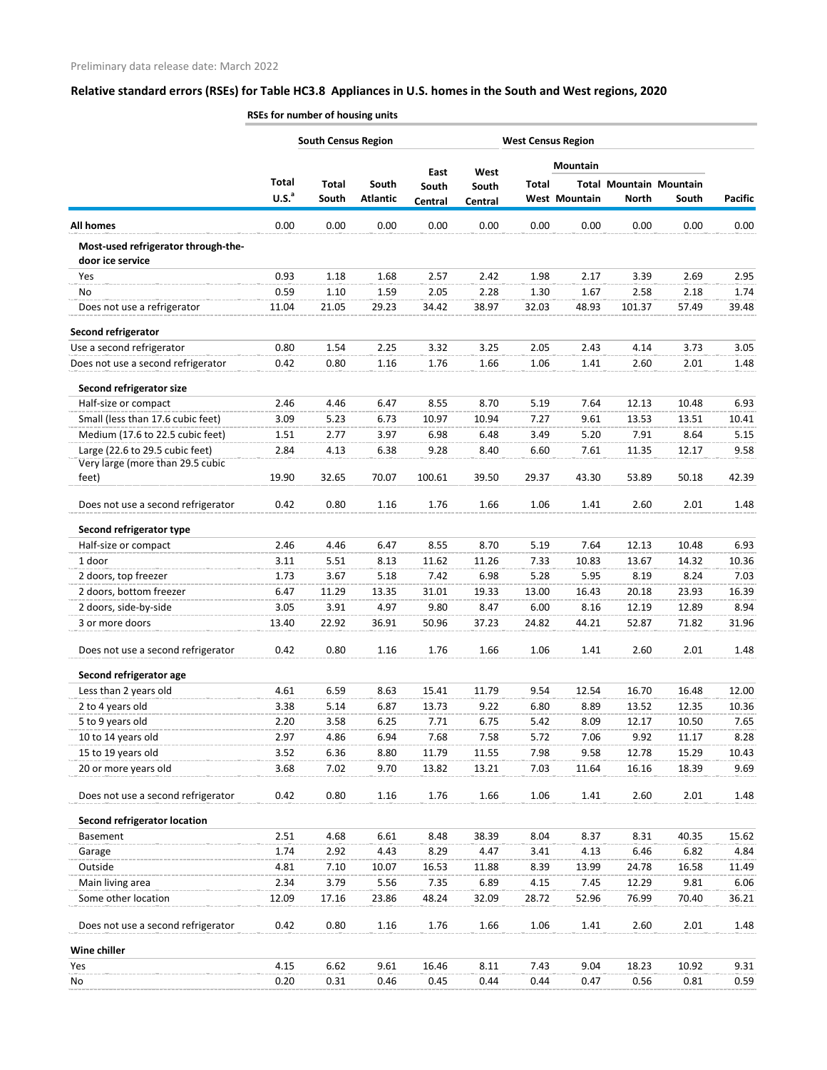|                                                                     | <b>South Census Region</b><br><b>West Census Region</b> |                       |                          |                  |                  |       |                      |                                                |       |                |
|---------------------------------------------------------------------|---------------------------------------------------------|-----------------------|--------------------------|------------------|------------------|-------|----------------------|------------------------------------------------|-------|----------------|
|                                                                     |                                                         |                       |                          | East             | West             |       | <b>Mountain</b>      |                                                |       |                |
|                                                                     | <b>Total</b><br>U.S. <sup>a</sup>                       | <b>Total</b><br>South | South<br><b>Atlantic</b> | South<br>Central | South<br>Central | Total | <b>West Mountain</b> | <b>Total Mountain Mountain</b><br><b>North</b> | South | <b>Pacific</b> |
| <b>All homes</b>                                                    | 0.00                                                    | 0.00                  | 0.00                     | 0.00             | 0.00             | 0.00  | 0.00                 | 0.00                                           | 0.00  | 0.00           |
| Most-used refrigerator through-the-<br>door ice service             |                                                         |                       |                          |                  |                  |       |                      |                                                |       |                |
| Yes                                                                 | 0.93                                                    | 1.18                  | 1.68                     | 2.57             | 2.42             | 1.98  | 2.17                 | 3.39                                           | 2.69  | 2.95           |
| No                                                                  | 0.59                                                    | 1.10                  | 1.59                     | 2.05             | 2.28             | 1.30  | 1.67                 | 2.58                                           | 2.18  | 1.74           |
| Does not use a refrigerator                                         | 11.04                                                   | 21.05                 | 29.23                    | 34.42            | 38.97            | 32.03 | 48.93                | 101.37                                         | 57.49 | 39.48          |
| Second refrigerator                                                 |                                                         |                       |                          |                  |                  |       |                      |                                                |       |                |
| Use a second refrigerator                                           | 0.80                                                    | 1.54                  | 2.25                     | 3.32             | 3.25             | 2.05  | 2.43                 | 4.14                                           | 3.73  | 3.05           |
| Does not use a second refrigerator                                  | 0.42                                                    | 0.80                  | 1.16                     | 1.76             | 1.66             | 1.06  | 1.41                 | 2.60                                           | 2.01  | 1.48           |
| Second refrigerator size                                            |                                                         |                       |                          |                  |                  |       |                      |                                                |       |                |
| Half-size or compact                                                | 2.46                                                    | 4.46                  | 6.47                     | 8.55             | 8.70             | 5.19  | 7.64                 | 12.13                                          | 10.48 | 6.93           |
| Small (less than 17.6 cubic feet)                                   | 3.09                                                    | 5.23                  | 6.73                     | 10.97            | 10.94            | 7.27  | 9.61                 | 13.53                                          | 13.51 | 10.41          |
| Medium (17.6 to 22.5 cubic feet)                                    | 1.51                                                    | 2.77                  | 3.97                     | 6.98             | 6.48             | 3.49  | 5.20                 | 7.91                                           | 8.64  | 5.15           |
| Large (22.6 to 29.5 cubic feet)<br>Very large (more than 29.5 cubic | 2.84                                                    | 4.13                  | 6.38                     | 9.28             | 8.40             | 6.60  | 7.61                 | 11.35                                          | 12.17 | 9.58           |
| feet)                                                               | 19.90                                                   | 32.65                 | 70.07                    | 100.61           | 39.50            | 29.37 | 43.30                | 53.89                                          | 50.18 | 42.39          |
| Does not use a second refrigerator                                  | 0.42                                                    | 0.80                  | 1.16                     | 1.76             | 1.66             | 1.06  | 1.41                 | 2.60                                           | 2.01  | 1.48           |
| Second refrigerator type                                            |                                                         |                       |                          |                  |                  |       |                      |                                                |       |                |
| Half-size or compact                                                | 2.46                                                    | 4.46                  | 6.47                     | 8.55             | 8.70             | 5.19  | 7.64                 | 12.13                                          | 10.48 | 6.93           |
| 1 door                                                              | 3.11                                                    | 5.51                  | 8.13                     | 11.62            | 11.26            | 7.33  | 10.83                | 13.67                                          | 14.32 | 10.36          |
| 2 doors, top freezer                                                | 1.73                                                    | 3.67                  | 5.18                     | 7.42             | 6.98             | 5.28  | 5.95                 | 8.19                                           | 8.24  | 7.03           |
| 2 doors, bottom freezer                                             | 6.47                                                    | 11.29                 | 13.35                    | 31.01            | 19.33            | 13.00 | 16.43                | 20.18                                          | 23.93 | 16.39          |
| 2 doors, side-by-side                                               | 3.05                                                    | 3.91                  | 4.97                     | 9.80             | 8.47             | 6.00  | 8.16                 | 12.19                                          | 12.89 | 8.94           |
| 3 or more doors                                                     | 13.40                                                   | 22.92                 | 36.91                    | 50.96            | 37.23            | 24.82 | 44.Z1                | 52.87                                          | 71.82 | 31.96          |
| Does not use a second refrigerator                                  | 0.42                                                    | 0.80                  | 1.16                     | 1.76             | 1.66             | 1.06  | 1.41                 | 2.60                                           | 2.01  | 1.48           |
| Second refrigerator age                                             |                                                         |                       |                          |                  |                  |       |                      |                                                |       |                |
| Less than 2 years old                                               | 4.61                                                    | 6.59                  | 8.63                     | 15.41            | 11.79            | 9.54  | 12.54                | 16.70                                          | 16.48 | 12.00          |
| 2 to 4 years old                                                    | 3.38                                                    | 5.14                  | 6.87                     | 13.73            | 9.22             | 6.80  | 8.89                 | 13.52                                          | 12.35 | 10.36          |
| 5 to 9 years old                                                    | 2.20                                                    | 3.58                  | 6.25                     | 7.71             | 6.75             | 5.42  | 8.09                 | 12.17                                          | 10.50 | 7.65           |
| 10 to 14 years old                                                  | 2.97                                                    | 4.86                  | 6.94                     | 7.68             | 7.58             | 5.72  | 7.06                 | 9.92                                           | 11.17 | 8.28           |
| 15 to 19 years old                                                  | 3.52                                                    | 6.36                  | 8.80                     | 11.79            | 11.55            | 7.98  | 9.58                 | 12.78                                          | 15.29 | 10.43          |
| 20 or more years old                                                | 3.68                                                    | 7.02                  | 9.70                     | 13.82            | 13.21            | 7.03  | 11.64                | 16.16                                          | 18.39 | 9.69           |
| Does not use a second refrigerator                                  | 0.42                                                    | 0.80                  | 1.16                     | 1.76             | 1.66             | 1.06  | 1.41                 | 2.60                                           | 2.01  | 1.48           |
| <b>Second refrigerator location</b>                                 |                                                         |                       |                          |                  |                  |       |                      |                                                |       |                |
| Basement                                                            | 2.51                                                    | 4.68                  | 6.61                     | 8.48             | 38.39            | 8.04  | 8.37                 | 8.31                                           | 40.35 | 15.62          |
| Garage                                                              | 1.74                                                    | 2.92                  | 4.43                     | 8.29             | 4.47             | 3.41  | 4.13                 | 6.46                                           | 6.82  | 4.84           |
| Outside                                                             | 4.81                                                    | 7.10                  | 10.07                    | 16.53            | 11.88            | 8.39  | 13.99                | 24.78                                          | 16.58 | 11.49          |
| Main living area                                                    | 2.34                                                    | 3.79                  | 5.56                     | 7.35             | 6.89             | 4.15  | 7.45                 | 12.29                                          | 9.81  | 6.06           |
| Some other location                                                 | 12.09                                                   | 17.16                 | 23.86                    | 48.24            | 32.09            | 28.72 | 52.96                | 76.99                                          | 70.40 | 36.21          |
| Does not use a second refrigerator                                  | 0.42                                                    | 0.80                  | 1.16                     | 1.76             | 1.66             | 1.06  | 1.41                 | 2.60                                           | 2.01  | 1.48           |
| Wine chiller                                                        |                                                         |                       |                          |                  |                  |       |                      |                                                |       |                |
| Yes                                                                 | 4.15                                                    | 6.62                  | 9.61                     | 16.46            | 8.11             | 7.43  | 9.04                 | 18.23                                          | 10.92 | 9.31           |
| No                                                                  | 0.20                                                    | 0.31                  | 0.46                     | 0.45             | 0.44             | 0.44  | 0.47                 | 0.56                                           | 0.81  | 0.59           |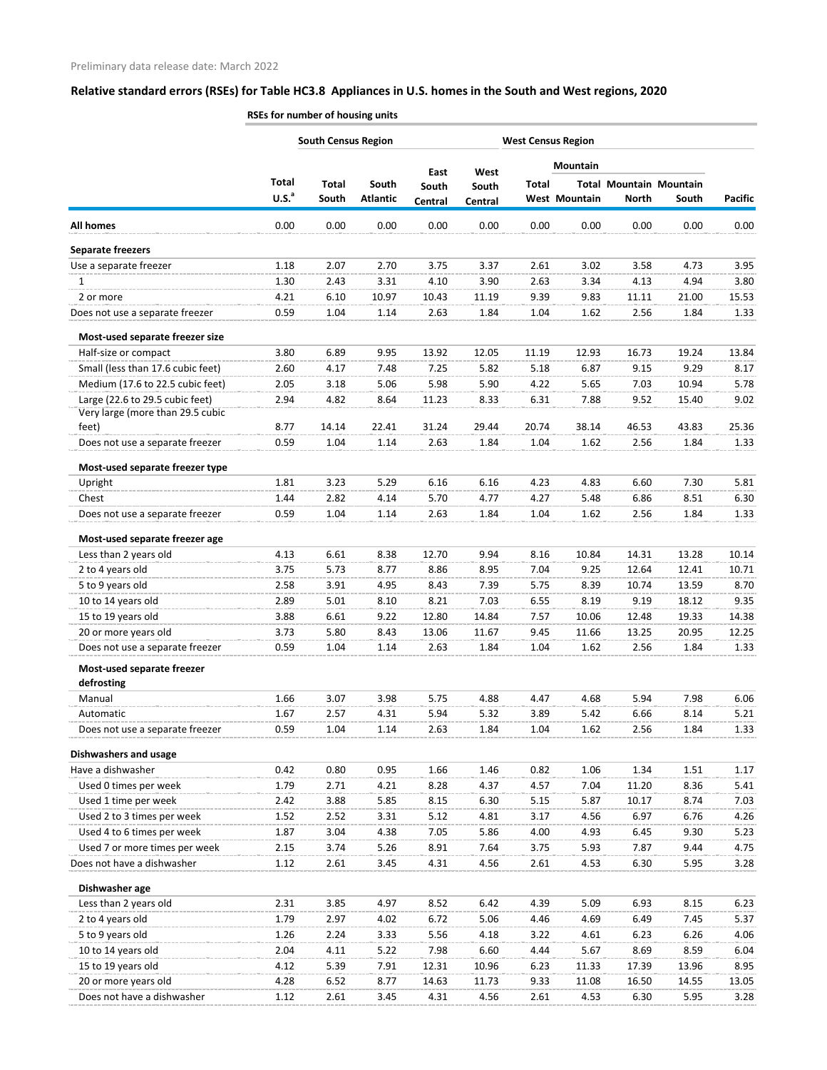|                                   |                   | <b>South Census Region</b> |                 |               |               |              | <b>West Census Region</b> |                                |       |         |
|-----------------------------------|-------------------|----------------------------|-----------------|---------------|---------------|--------------|---------------------------|--------------------------------|-------|---------|
|                                   |                   |                            |                 |               |               |              | <b>Mountain</b>           |                                |       |         |
|                                   | Total             | Total                      | South           | East<br>South | West<br>South | <b>Total</b> |                           | <b>Total Mountain Mountain</b> |       |         |
|                                   | U.S. <sup>a</sup> | South                      | <b>Atlantic</b> | Central       | Central       |              | West Mountain             | <b>North</b>                   | South | Pacific |
| <b>All homes</b>                  | 0.00              | 0.00                       | 0.00            | 0.00          | 0.00          | 0.00         | 0.00                      | 0.00                           | 0.00  | 0.00    |
| <b>Separate freezers</b>          |                   |                            |                 |               |               |              |                           |                                |       |         |
| Use a separate freezer            | 1.18              | 2.07                       | 2.70            | 3.75          | 3.37          | 2.61         | 3.02                      | 3.58                           | 4.73  | 3.95    |
| 1                                 | 1.30              | 2.43                       | 3.31            | 4.10          | 3.90          | 2.63         | 3.34                      | 4.13                           | 4.94  | 3.80    |
| 2 or more                         | 4.21              | 6.10                       | 10.97           | 10.43         | 11.19         | 9.39         | 9.83                      | 11.11                          | 21.00 | 15.53   |
| Does not use a separate freezer   | 0.59              | 1.04                       | 1.14            | 2.63          | 1.84          | 1.04         | 1.62                      | 2.56                           | 1.84  | 1.33    |
| Most-used separate freezer size   |                   |                            |                 |               |               |              |                           |                                |       |         |
| Half-size or compact              | 3.80              | 6.89                       | 9.95            | 13.92         | 12.05         | 11.19        | 12.93                     | 16.73                          | 19.24 | 13.84   |
| Small (less than 17.6 cubic feet) | 2.60              | 4.17                       | 7.48            | 7.25          | 5.82          | 5.18         | 6.87                      | 9.15                           | 9.29  | 8.17    |
| Medium (17.6 to 22.5 cubic feet)  | 2.05              | 3.18                       | 5.06            | 5.98          | 5.90          | 4.22         | 5.65                      | 7.03                           | 10.94 | 5.78    |
| Large (22.6 to 29.5 cubic feet)   | 2.94              | 4.82                       | 8.64            | 11.23         | 8.33          | 6.31         | 7.88                      | 9.52                           | 15.40 | 9.02    |
| Very large (more than 29.5 cubic  |                   |                            |                 |               |               |              |                           |                                |       |         |
| feet)                             | 8.77              | 14.14                      | 22.41           | 31.24         | 29.44         | 20.74        | 38.14                     | 46.53                          | 43.83 | 25.36   |
| Does not use a separate freezer   | 0.59              | 1.04                       | 1.14            | 2.63          | 1.84          | 1.04         | 1.62                      | 2.56                           | 1.84  | 1.33    |
| Most-used separate freezer type   |                   |                            |                 |               |               |              |                           |                                |       |         |
| Upright                           | 1.81              | 3.23                       | 5.29            | 6.16          | 6.16          | 4.23         | 4.83                      | 6.60                           | 7.30  | 5.81    |
| Chest                             | 1.44              | 2.82                       | 4.14            | 5.70          | 4.77          | 4.27         | 5.48                      | 6.86                           | 8.51  | 6.30    |
| Does not use a separate freezer   | 0.59              | 1.04                       | 1.14            | 2.63          | 1.84          | 1.04         | 1.62                      | 2.56                           | 1.84  | 1.33    |
| Most-used separate freezer age    |                   |                            |                 |               |               |              |                           |                                |       |         |
| Less than 2 years old             | 4.13              | 6.61                       | 8.38            | 12.70         | 9.94          | 8.16         | 10.84                     | 14.31                          | 13.28 | 10.14   |
| 2 to 4 years old                  | 3.75              | 5.73                       | 8.77            | 8.86          | 8.95          | 7.04         | 9.25                      | 12.64                          | 12.41 | 10.71   |
| 5 to 9 years old                  | 2.58              | 3.91                       | 4.95            | 8.43          | 7.39          | 5.75         | 8.39                      | 10.74                          | 13.59 | 8.70    |
| 10 to 14 years old                | 2.89              | 5.01                       | 8.10            | 8.21          | 7.03          | 6.55         | 8.19                      | 9.19                           | 18.12 | 9.35    |
| 15 to 19 years old                | 3.88              | 6.61                       | 9.22            | 12.80         | 14.84         | 7.57         | 10.06                     | 12.48                          | 19.33 | 14.38   |
| 20 or more years old              | 3.73              | 5.80                       | 8.43            | 13.06         | 11.67         | 9.45         | 11.66                     | 13.25                          | 20.95 | 12.25   |
| Does not use a separate freezer   | 0.59              | 1.04                       | 1.14            | 2.63          | 1.84          | 1.04         | 1.62                      | 2.56                           | 1.84  | 1.33    |
| Most-used separate freezer        |                   |                            |                 |               |               |              |                           |                                |       |         |
| defrosting                        |                   |                            |                 |               |               |              |                           |                                |       |         |
| Manual                            | 1.66              | 3.07                       | 3.98            | 5.75          | 4.88          | 4.47         | 4.68                      | 5.94                           | 7.98  | 6.06    |
| Automatic                         | 1.67              | 2.57                       | 4.31            | 5.94          | 5.32          | 3.89         | 5.42                      | 6.66                           | 8.14  | 5.21    |
| Does not use a separate freezer   | 0.59              | 1.04                       | 1.14            | 2.63          | 1.84          | 1.04         | 1.62                      | 2.56                           | 1.84  | 1.33    |
| <b>Dishwashers and usage</b>      |                   |                            |                 |               |               |              |                           |                                |       |         |
| Have a dishwasher                 | 0.42              | 0.80                       | 0.95            | 1.66          | 1.46          | 0.82         | 1.06                      | 1.34                           | 1.51  | 1.17    |
| Used 0 times per week             | 1.79              | 2.71                       | 4.21            | 8.28          | 4.37          | 4.57         | 7.04                      | 11.20                          | 8.36  | 5.41    |
| Used 1 time per week              | 2.42              | 3.88                       | 5.85            | 8.15          | 6.30          | 5.15         | 5.87                      | 10.17                          | 8.74  | 7.03    |
| Used 2 to 3 times per week        | 1.52              | 2.52                       | 3.31            | 5.12          | 4.81          | 3.17         | 4.56                      | 6.97                           | 6.76  | 4.26    |
| Used 4 to 6 times per week        | 1.87              | 3.04                       | 4.38            | 7.05          | 5.86          | 4.00         | 4.93                      | 6.45                           | 9.30  | 5.23    |
| Used 7 or more times per week     | 2.15              | 3.74                       | 5.26            | 8.91          | 7.64          | 3.75         | 5.93                      | 7.87                           | 9.44  | 4.75    |
| Does not have a dishwasher        | 1.12              | 2.61                       | 3.45            | 4.31          | 4.56          | 2.61         | 4.53                      | 6.30                           | 5.95  | 3.28    |
| Dishwasher age                    |                   |                            |                 |               |               |              |                           |                                |       |         |
| Less than 2 years old             | 2.31              | 3.85                       | 4.97            | 8.52          | 6.42          | 4.39         | 5.09                      | 6.93                           | 8.15  | 6.23    |
| 2 to 4 years old                  | 1.79              | 2.97                       | 4.02            | 6.72          | 5.06          | 4.46         | 4.69                      | 6.49                           | 7.45  | 5.37    |
| 5 to 9 years old                  | 1.26              | 2.24                       | 3.33            | 5.56          | 4.18          | 3.22         | 4.61                      | 6.23                           | 6.26  | 4.06    |
| 10 to 14 years old                | 2.04              | 4.11                       | 5.22            | 7.98          | 6.60          | 4.44         | 5.67                      | 8.69                           | 8.59  | 6.04    |
| 15 to 19 years old                | 4.12              | 5.39                       | 7.91            | 12.31         | 10.96         | 6.23         | 11.33                     | 17.39                          | 13.96 | 8.95    |
| 20 or more years old              | 4.28              | 6.52                       | 8.77            | 14.63         | 11.73         | 9.33         | 11.08                     | 16.50                          | 14.55 | 13.05   |
| Does not have a dishwasher        | 1.12              | 2.61                       | 3.45            | 4.31          | 4.56          | 2.61         | 4.53                      | 6.30                           | 5.95  | 3.28    |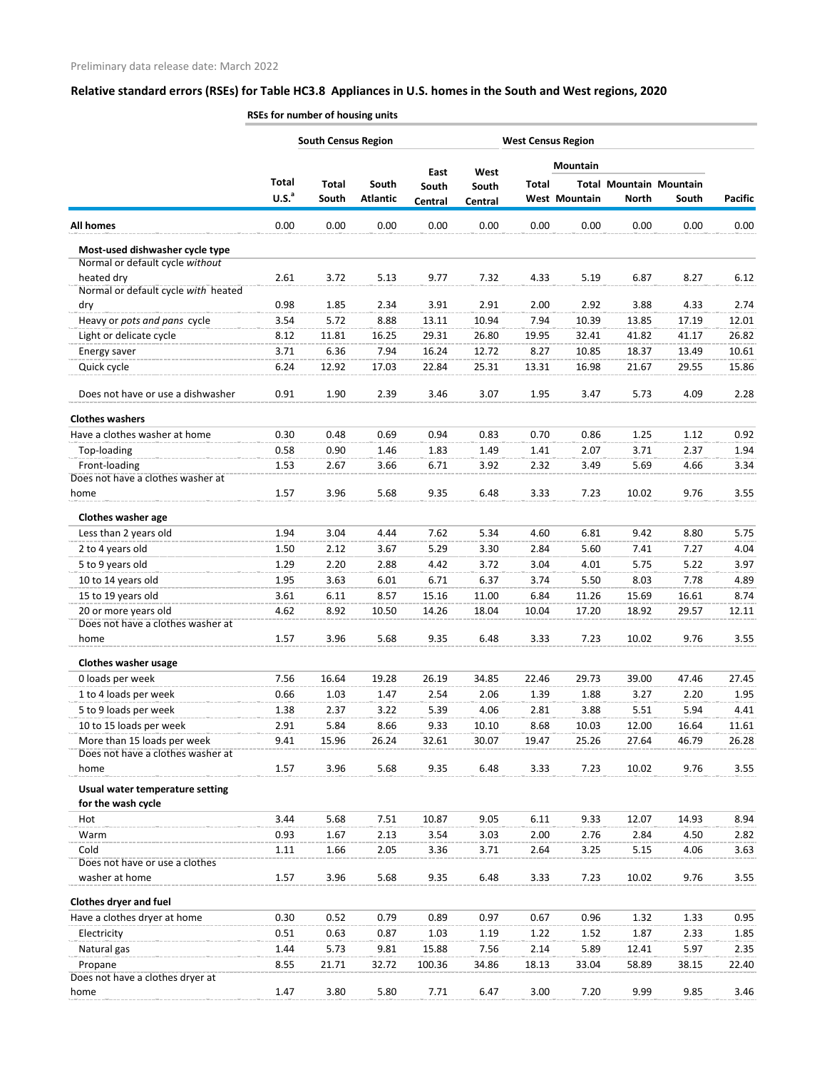|                                                       | <b>South Census Region</b> |                       |                          |                  | <b>West Census Region</b> |              |               |                                                |       |                |
|-------------------------------------------------------|----------------------------|-----------------------|--------------------------|------------------|---------------------------|--------------|---------------|------------------------------------------------|-------|----------------|
|                                                       | East                       |                       |                          |                  | <b>Mountain</b><br>West   |              |               |                                                |       |                |
|                                                       | Total<br>U.S. <sup>a</sup> | <b>Total</b><br>South | South<br><b>Atlantic</b> | South<br>Central | South<br>Central          | <b>Total</b> | West Mountain | <b>Total Mountain Mountain</b><br><b>North</b> | South | <b>Pacific</b> |
| <b>All homes</b>                                      | 0.00                       | 0.00                  | 0.00                     | 0.00             | 0.00                      | 0.00         | 0.00          | 0.00                                           | 0.00  | 0.00           |
| Most-used dishwasher cycle type                       |                            |                       |                          |                  |                           |              |               |                                                |       |                |
| Normal or default cycle without                       |                            |                       |                          |                  |                           |              |               |                                                |       |                |
| heated dry                                            | 2.61                       | 3.72                  | 5.13                     | 9.77             | 7.32                      | 4.33         | 5.19          | 6.87                                           | 8.27  | 6.12           |
| Normal or default cycle with heated                   |                            |                       |                          |                  |                           |              |               |                                                |       |                |
| dry                                                   | 0.98                       | 1.85                  | 2.34                     | 3.91             | 2.91                      | 2.00         | 2.92          | 3.88                                           | 4.33  | 2.74           |
| Heavy or pots and pans cycle                          | 3.54                       | 5.72                  | 8.88                     | 13.11            | 10.94                     | 7.94         | 10.39         | 13.85                                          | 17.19 | 12.01          |
| Light or delicate cycle                               | 8.12                       | 11.81                 | 16.25                    | 29.31            | 26.80                     | 19.95        | 32.41         | 41.82                                          | 41.17 | 26.82          |
| Energy saver                                          | 3.71                       | 6.36                  | 7.94                     | 16.24            | 12.72                     | 8.27         | 10.85         | 18.37                                          | 13.49 | 10.61          |
| Quick cycle                                           | 6.24                       | 12.92                 | 17.03                    | 22.84            | 25.31                     | 13.31        | 16.98         | 21.67                                          | 29.55 | 15.86          |
| Does not have or use a dishwasher                     | 0.91                       | 1.90                  | 2.39                     | 3.46             | 3.07                      | 1.95         | 3.47          | 5.73                                           | 4.09  | 2.28           |
| <b>Clothes washers</b>                                |                            |                       |                          |                  |                           |              |               |                                                |       |                |
| Have a clothes washer at home                         | 0.30                       | 0.48                  | 0.69                     | 0.94             | 0.83                      | 0.70         | 0.86          | 1.25                                           | 1.12  | 0.92           |
| Top-loading                                           | 0.58                       | 0.90                  | 1.46                     | 1.83             | 1.49                      | 1.41         | 2.07          | 3.71                                           | 2.37  | 1.94           |
| Front-loading                                         | 1.53                       | 2.67                  | 3.66                     | 6.71             | 3.92                      | 2.32         | 3.49          | 5.69                                           | 4.66  | 3.34           |
| Does not have a clothes washer at                     |                            |                       |                          |                  |                           |              |               |                                                |       |                |
| home                                                  | 1.57                       | 3.96                  | 5.68                     | 9.35             | 6.48                      | 3.33         | 7.23          | 10.02                                          | 9.76  | 3.55           |
| <b>Clothes washer age</b>                             |                            |                       |                          |                  |                           |              |               |                                                |       |                |
| Less than 2 years old                                 | 1.94                       | 3.04                  | 4.44                     | 7.62             | 5.34                      | 4.60         | 6.81          | 9.42                                           | 8.80  | 5.75           |
| 2 to 4 years old                                      | 1.50                       | 2.12                  | 3.67                     | 5.29             | 3.30                      | 2.84         | 5.60          | 7.41                                           | 7.27  | 4.04           |
| 5 to 9 years old                                      | 1.29                       | 2.20                  | 2.88                     | 4.42             | 3.72                      | 3.04         | 4.01          | 5.75                                           | 5.22  | 3.97           |
| 10 to 14 years old                                    | 1.95                       | 3.63                  | 6.01                     | 6.71             | 6.37                      | 3.74         | 5.50          | 8.03                                           | 7.78  | 4.89           |
| 15 to 19 years old                                    | 3.61                       | 6.11                  | 8.57                     | 15.16            | 11.00                     | 6.84         | 11.26         | 15.69                                          | 16.61 | 8.74           |
| 20 or more years old                                  | 4.62                       | 8.92                  | 10.50                    | 14.26            | 18.04                     | 10.04        | 17.20         | 18.92                                          | 29.57 | 12.11          |
| Does not have a clothes washer at                     |                            |                       |                          |                  |                           |              |               |                                                |       |                |
| home                                                  | 1.57                       | 3.96                  | 5.68                     | 9.35             | 6.48                      | 3.33         | 7.23          | 10.02                                          | 9.76  | 3.55           |
| <b>Clothes washer usage</b>                           |                            |                       |                          |                  |                           |              |               |                                                |       |                |
| 0 loads per week                                      | 7.56                       | 16.64                 | 19.28                    | 26.19            | 34.85                     | 22.46        | 29.73         | 39.00                                          | 47.46 | 27.45          |
| 1 to 4 loads per week                                 | 0.66                       | 1.03                  | 1.47                     | 2.54             | 2.06                      | 1.39         | 1.88          | 3.27                                           | 2.20  | 1.95           |
| 5 to 9 loads per week                                 | 1.38                       | 2.37                  | 3.22                     | 5.39             | 4.06                      | 2.81         | 3.88          | 5.51                                           | 5.94  | 4.41           |
| 10 to 15 loads per week                               | 2.91                       | 5.84                  | 8.66                     | 9.33             | 10.10                     | 8.68         | 10.03         | 12.00                                          | 16.64 | 11.61          |
| More than 15 loads per week                           | 9.41                       | 15.96                 | 26.24                    | 32.61            | 30.07                     | 19.47        | 25.26         | 27.64                                          | 46.79 | 26.28          |
| Does not have a clothes washer at                     |                            |                       |                          |                  |                           |              |               |                                                |       |                |
| home                                                  | 1.57                       | 3.96                  | 5.68                     | 9.35             | 6.48                      | 3.33         | 7.23          | 10.02                                          | 9.76  | 3.55           |
| Usual water temperature setting<br>for the wash cycle |                            |                       |                          |                  |                           |              |               |                                                |       |                |
| Hot                                                   | 3.44                       | 5.68                  | 7.51                     | 10.87            | 9.05                      | 6.11         | 9.33          | 12.07                                          | 14.93 | 8.94           |
| Warm                                                  | 0.93                       | 1.67                  | 2.13                     | 3.54             | 3.03                      | 2.00         | 2.76          | 2.84                                           | 4.50  | 2.82           |
| Cold                                                  | 1.11                       | 1.66                  | 2.05                     | 3.36             | 3.71                      | 2.64         | 3.25          | 5.15                                           | 4.06  | 3.63           |
| Does not have or use a clothes                        |                            |                       |                          |                  |                           |              |               |                                                |       |                |
| washer at home                                        | 1.57                       | 3.96                  | 5.68                     | 9.35             | 6.48                      | 3.33         | 7.23          | 10.02                                          | 9.76  | 3.55           |
| <b>Clothes dryer and fuel</b>                         |                            |                       |                          |                  |                           |              |               |                                                |       |                |
| Have a clothes dryer at home                          | 0.30                       | 0.52                  | 0.79                     | 0.89             | 0.97                      | 0.67         | 0.96          | 1.32                                           | 1.33  | 0.95           |
| Electricity                                           | 0.51                       | 0.63                  | 0.87                     | 1.03             | 1.19                      | 1.22         | 1.52          | 1.87                                           | 2.33  | 1.85           |
| Natural gas                                           | 1.44                       | 5.73                  | 9.81                     | 15.88            | 7.56                      | 2.14         | 5.89          | 12.41                                          | 5.97  | 2.35           |
| Propane                                               | 8.55                       | 21.71                 | 32.72                    | 100.36           | 34.86                     | 18.13        | 33.04         | 58.89                                          | 38.15 | 22.40          |
| Does not have a clothes dryer at                      |                            |                       |                          |                  |                           |              |               |                                                |       |                |
| home                                                  | 1.47                       | 3.80                  | 5.80                     | 7.71             | 6.47                      | 3.00         | 7.20          | 9.99                                           | 9.85  | 3.46           |